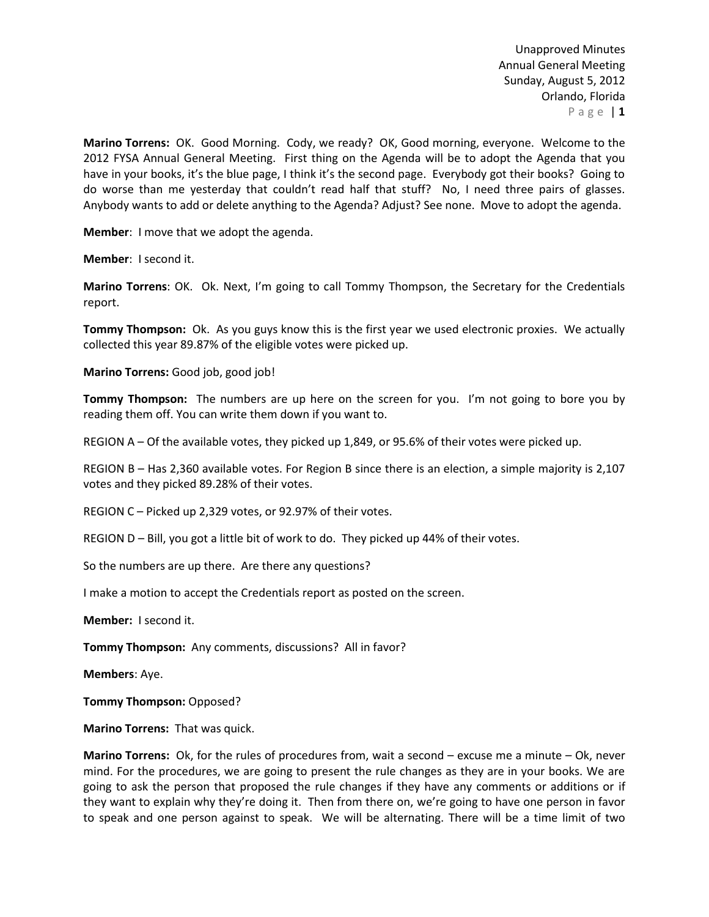**Marino Torrens:** OK. Good Morning. Cody, we ready? OK, Good morning, everyone. Welcome to the 2012 FYSA Annual General Meeting. First thing on the Agenda will be to adopt the Agenda that you have in your books, it's the blue page, I think it's the second page. Everybody got their books? Going to do worse than me yesterday that couldn't read half that stuff? No, I need three pairs of glasses. Anybody wants to add or delete anything to the Agenda? Adjust? See none. Move to adopt the agenda.

**Member**: I move that we adopt the agenda.

**Member**: I second it.

**Marino Torrens**: OK. Ok. Next, I'm going to call Tommy Thompson, the Secretary for the Credentials report.

**Tommy Thompson:** Ok. As you guys know this is the first year we used electronic proxies. We actually collected this year 89.87% of the eligible votes were picked up.

**Marino Torrens:** Good job, good job!

**Tommy Thompson:** The numbers are up here on the screen for you. I'm not going to bore you by reading them off. You can write them down if you want to.

REGION A – Of the available votes, they picked up 1,849, or 95.6% of their votes were picked up.

REGION B – Has 2,360 available votes. For Region B since there is an election, a simple majority is 2,107 votes and they picked 89.28% of their votes.

REGION C – Picked up 2,329 votes, or 92.97% of their votes.

REGION D – Bill, you got a little bit of work to do. They picked up 44% of their votes.

So the numbers are up there. Are there any questions?

I make a motion to accept the Credentials report as posted on the screen.

**Member:** I second it.

**Tommy Thompson:** Any comments, discussions? All in favor?

**Members**: Aye.

**Tommy Thompson:** Opposed?

**Marino Torrens:** That was quick.

**Marino Torrens:** Ok, for the rules of procedures from, wait a second – excuse me a minute – Ok, never mind. For the procedures, we are going to present the rule changes as they are in your books. We are going to ask the person that proposed the rule changes if they have any comments or additions or if they want to explain why they're doing it. Then from there on, we're going to have one person in favor to speak and one person against to speak. We will be alternating. There will be a time limit of two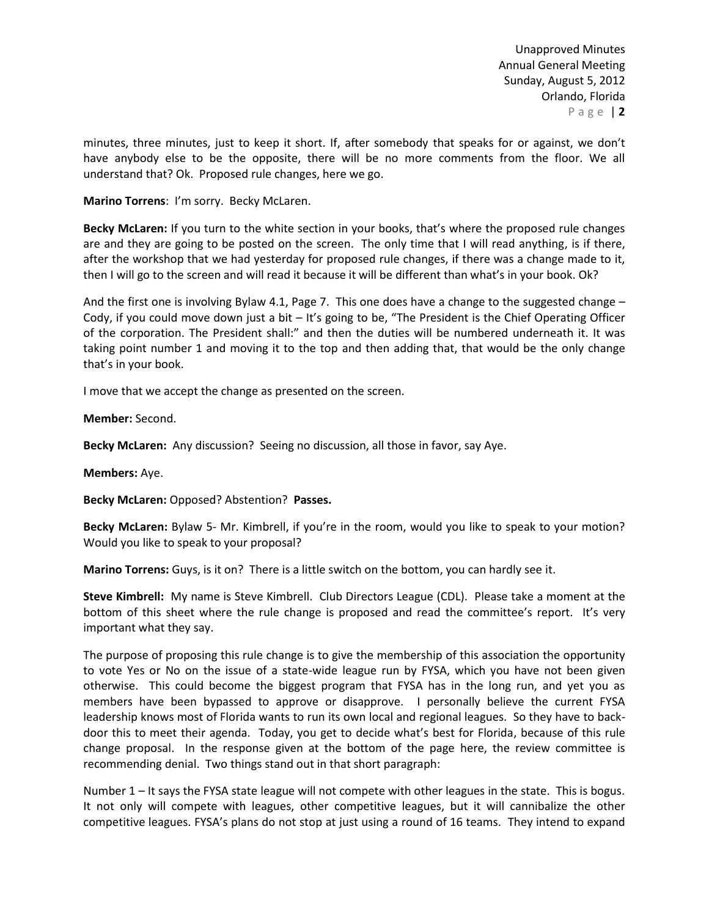minutes, three minutes, just to keep it short. If, after somebody that speaks for or against, we don't have anybody else to be the opposite, there will be no more comments from the floor. We all understand that? Ok. Proposed rule changes, here we go.

**Marino Torrens**: I'm sorry. Becky McLaren.

**Becky McLaren:** If you turn to the white section in your books, that's where the proposed rule changes are and they are going to be posted on the screen. The only time that I will read anything, is if there, after the workshop that we had yesterday for proposed rule changes, if there was a change made to it, then I will go to the screen and will read it because it will be different than what's in your book. Ok?

And the first one is involving Bylaw 4.1, Page 7. This one does have a change to the suggested change – Cody, if you could move down just a bit – It's going to be, "The President is the Chief Operating Officer of the corporation. The President shall:" and then the duties will be numbered underneath it. It was taking point number 1 and moving it to the top and then adding that, that would be the only change that's in your book.

I move that we accept the change as presented on the screen.

**Member:** Second.

**Becky McLaren:** Any discussion? Seeing no discussion, all those in favor, say Aye.

**Members:** Aye.

**Becky McLaren:** Opposed? Abstention? **Passes.**

**Becky McLaren:** Bylaw 5- Mr. Kimbrell, if you're in the room, would you like to speak to your motion? Would you like to speak to your proposal?

**Marino Torrens:** Guys, is it on? There is a little switch on the bottom, you can hardly see it.

**Steve Kimbrell:** My name is Steve Kimbrell. Club Directors League (CDL). Please take a moment at the bottom of this sheet where the rule change is proposed and read the committee's report. It's very important what they say.

The purpose of proposing this rule change is to give the membership of this association the opportunity to vote Yes or No on the issue of a state-wide league run by FYSA, which you have not been given otherwise. This could become the biggest program that FYSA has in the long run, and yet you as members have been bypassed to approve or disapprove. I personally believe the current FYSA leadership knows most of Florida wants to run its own local and regional leagues. So they have to backdoor this to meet their agenda. Today, you get to decide what's best for Florida, because of this rule change proposal. In the response given at the bottom of the page here, the review committee is recommending denial. Two things stand out in that short paragraph:

Number 1 – It says the FYSA state league will not compete with other leagues in the state. This is bogus. It not only will compete with leagues, other competitive leagues, but it will cannibalize the other competitive leagues. FYSA's plans do not stop at just using a round of 16 teams. They intend to expand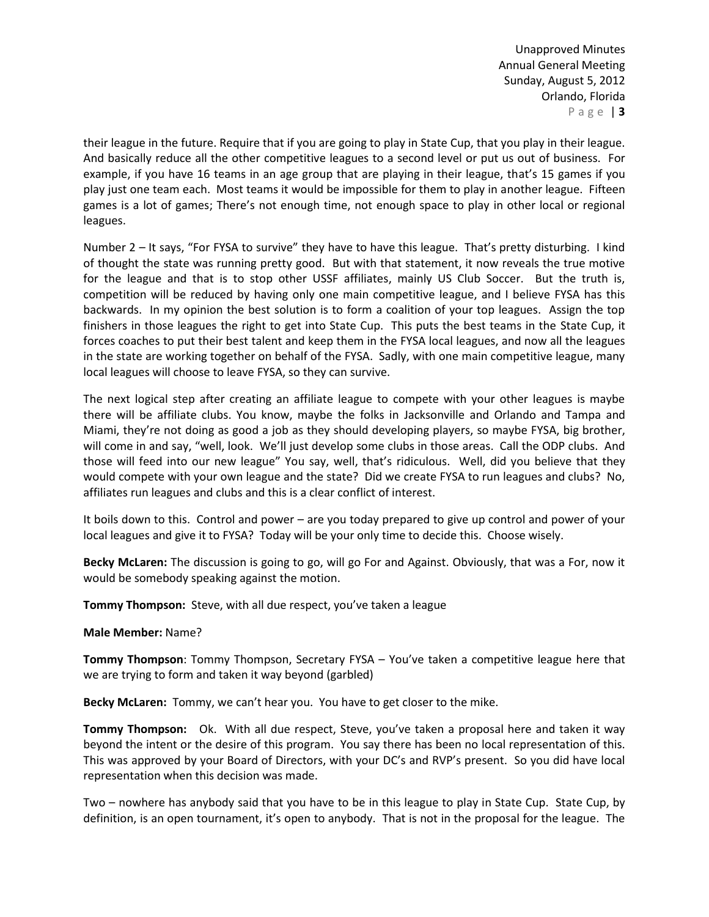their league in the future. Require that if you are going to play in State Cup, that you play in their league. And basically reduce all the other competitive leagues to a second level or put us out of business. For example, if you have 16 teams in an age group that are playing in their league, that's 15 games if you play just one team each. Most teams it would be impossible for them to play in another league. Fifteen games is a lot of games; There's not enough time, not enough space to play in other local or regional leagues.

Number 2 – It says, "For FYSA to survive" they have to have this league. That's pretty disturbing. I kind of thought the state was running pretty good. But with that statement, it now reveals the true motive for the league and that is to stop other USSF affiliates, mainly US Club Soccer. But the truth is, competition will be reduced by having only one main competitive league, and I believe FYSA has this backwards. In my opinion the best solution is to form a coalition of your top leagues. Assign the top finishers in those leagues the right to get into State Cup. This puts the best teams in the State Cup, it forces coaches to put their best talent and keep them in the FYSA local leagues, and now all the leagues in the state are working together on behalf of the FYSA. Sadly, with one main competitive league, many local leagues will choose to leave FYSA, so they can survive.

The next logical step after creating an affiliate league to compete with your other leagues is maybe there will be affiliate clubs. You know, maybe the folks in Jacksonville and Orlando and Tampa and Miami, they're not doing as good a job as they should developing players, so maybe FYSA, big brother, will come in and say, "well, look. We'll just develop some clubs in those areas. Call the ODP clubs. And those will feed into our new league" You say, well, that's ridiculous. Well, did you believe that they would compete with your own league and the state? Did we create FYSA to run leagues and clubs? No, affiliates run leagues and clubs and this is a clear conflict of interest.

It boils down to this. Control and power – are you today prepared to give up control and power of your local leagues and give it to FYSA? Today will be your only time to decide this. Choose wisely.

**Becky McLaren:** The discussion is going to go, will go For and Against. Obviously, that was a For, now it would be somebody speaking against the motion.

**Tommy Thompson:** Steve, with all due respect, you've taken a league

### **Male Member:** Name?

**Tommy Thompson**: Tommy Thompson, Secretary FYSA – You've taken a competitive league here that we are trying to form and taken it way beyond (garbled)

**Becky McLaren:** Tommy, we can't hear you. You have to get closer to the mike.

**Tommy Thompson:** Ok. With all due respect, Steve, you've taken a proposal here and taken it way beyond the intent or the desire of this program. You say there has been no local representation of this. This was approved by your Board of Directors, with your DC's and RVP's present. So you did have local representation when this decision was made.

Two – nowhere has anybody said that you have to be in this league to play in State Cup. State Cup, by definition, is an open tournament, it's open to anybody. That is not in the proposal for the league. The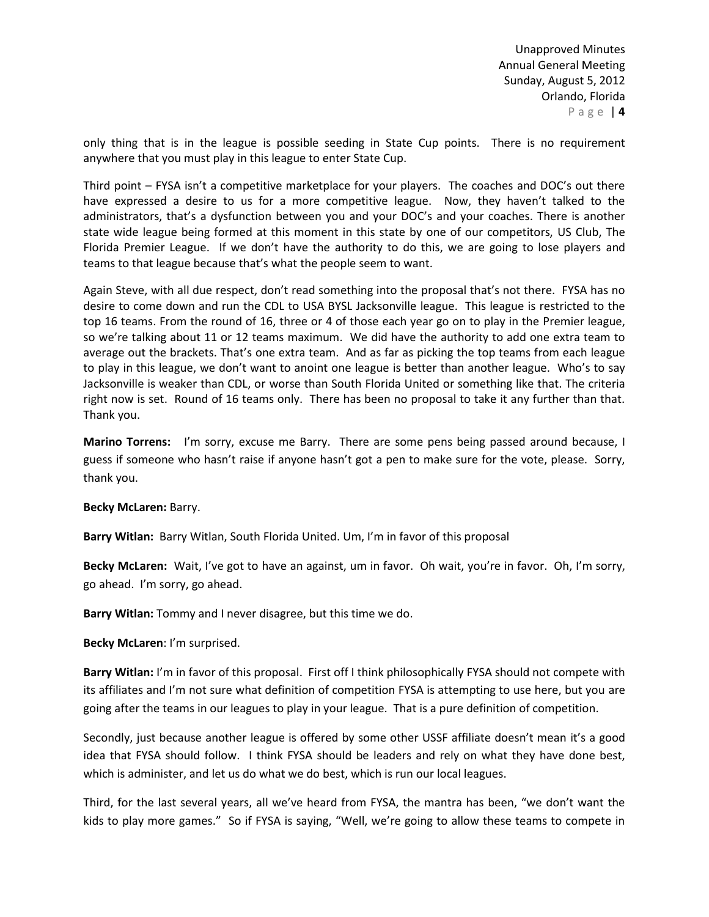only thing that is in the league is possible seeding in State Cup points. There is no requirement anywhere that you must play in this league to enter State Cup.

Third point – FYSA isn't a competitive marketplace for your players. The coaches and DOC's out there have expressed a desire to us for a more competitive league. Now, they haven't talked to the administrators, that's a dysfunction between you and your DOC's and your coaches. There is another state wide league being formed at this moment in this state by one of our competitors, US Club, The Florida Premier League. If we don't have the authority to do this, we are going to lose players and teams to that league because that's what the people seem to want.

Again Steve, with all due respect, don't read something into the proposal that's not there. FYSA has no desire to come down and run the CDL to USA BYSL Jacksonville league. This league is restricted to the top 16 teams. From the round of 16, three or 4 of those each year go on to play in the Premier league, so we're talking about 11 or 12 teams maximum. We did have the authority to add one extra team to average out the brackets. That's one extra team. And as far as picking the top teams from each league to play in this league, we don't want to anoint one league is better than another league. Who's to say Jacksonville is weaker than CDL, or worse than South Florida United or something like that. The criteria right now is set. Round of 16 teams only. There has been no proposal to take it any further than that. Thank you.

**Marino Torrens:** I'm sorry, excuse me Barry. There are some pens being passed around because, I guess if someone who hasn't raise if anyone hasn't got a pen to make sure for the vote, please. Sorry, thank you.

### **Becky McLaren:** Barry.

**Barry Witlan:** Barry Witlan, South Florida United. Um, I'm in favor of this proposal

**Becky McLaren:** Wait, I've got to have an against, um in favor. Oh wait, you're in favor. Oh, I'm sorry, go ahead. I'm sorry, go ahead.

**Barry Witlan:** Tommy and I never disagree, but this time we do.

**Becky McLaren**: I'm surprised.

**Barry Witlan:** I'm in favor of this proposal. First off I think philosophically FYSA should not compete with its affiliates and I'm not sure what definition of competition FYSA is attempting to use here, but you are going after the teams in our leagues to play in your league. That is a pure definition of competition.

Secondly, just because another league is offered by some other USSF affiliate doesn't mean it's a good idea that FYSA should follow. I think FYSA should be leaders and rely on what they have done best, which is administer, and let us do what we do best, which is run our local leagues.

Third, for the last several years, all we've heard from FYSA, the mantra has been, "we don't want the kids to play more games." So if FYSA is saying, "Well, we're going to allow these teams to compete in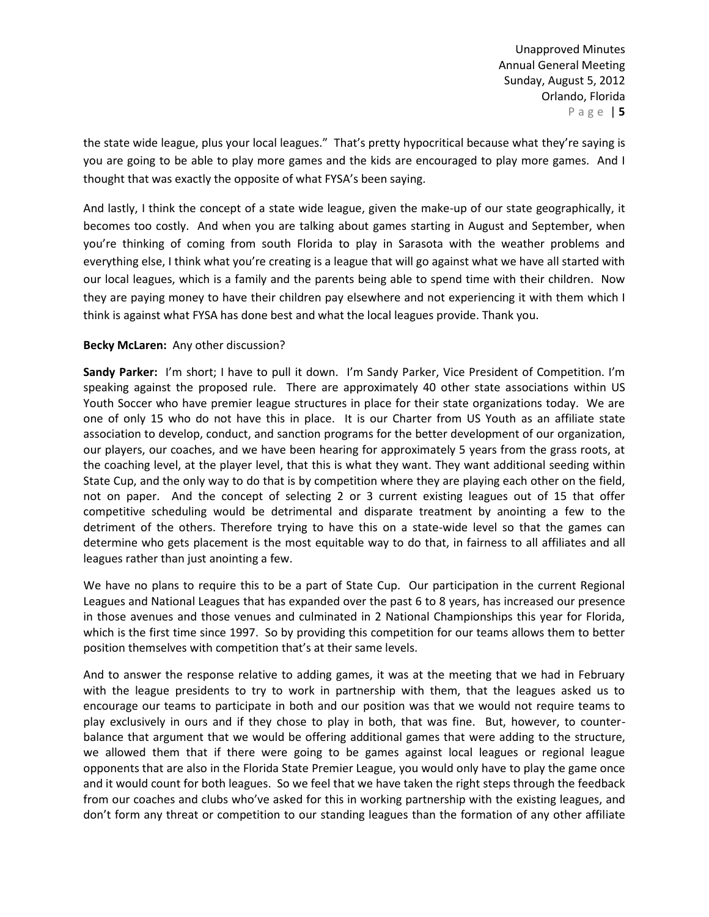the state wide league, plus your local leagues." That's pretty hypocritical because what they're saying is you are going to be able to play more games and the kids are encouraged to play more games. And I thought that was exactly the opposite of what FYSA's been saying.

And lastly, I think the concept of a state wide league, given the make-up of our state geographically, it becomes too costly. And when you are talking about games starting in August and September, when you're thinking of coming from south Florida to play in Sarasota with the weather problems and everything else, I think what you're creating is a league that will go against what we have all started with our local leagues, which is a family and the parents being able to spend time with their children. Now they are paying money to have their children pay elsewhere and not experiencing it with them which I think is against what FYSA has done best and what the local leagues provide. Thank you.

# **Becky McLaren:** Any other discussion?

**Sandy Parker:** I'm short; I have to pull it down. I'm Sandy Parker, Vice President of Competition. I'm speaking against the proposed rule. There are approximately 40 other state associations within US Youth Soccer who have premier league structures in place for their state organizations today. We are one of only 15 who do not have this in place. It is our Charter from US Youth as an affiliate state association to develop, conduct, and sanction programs for the better development of our organization, our players, our coaches, and we have been hearing for approximately 5 years from the grass roots, at the coaching level, at the player level, that this is what they want. They want additional seeding within State Cup, and the only way to do that is by competition where they are playing each other on the field, not on paper. And the concept of selecting 2 or 3 current existing leagues out of 15 that offer competitive scheduling would be detrimental and disparate treatment by anointing a few to the detriment of the others. Therefore trying to have this on a state-wide level so that the games can determine who gets placement is the most equitable way to do that, in fairness to all affiliates and all leagues rather than just anointing a few.

We have no plans to require this to be a part of State Cup. Our participation in the current Regional Leagues and National Leagues that has expanded over the past 6 to 8 years, has increased our presence in those avenues and those venues and culminated in 2 National Championships this year for Florida, which is the first time since 1997. So by providing this competition for our teams allows them to better position themselves with competition that's at their same levels.

And to answer the response relative to adding games, it was at the meeting that we had in February with the league presidents to try to work in partnership with them, that the leagues asked us to encourage our teams to participate in both and our position was that we would not require teams to play exclusively in ours and if they chose to play in both, that was fine. But, however, to counterbalance that argument that we would be offering additional games that were adding to the structure, we allowed them that if there were going to be games against local leagues or regional league opponents that are also in the Florida State Premier League, you would only have to play the game once and it would count for both leagues. So we feel that we have taken the right steps through the feedback from our coaches and clubs who've asked for this in working partnership with the existing leagues, and don't form any threat or competition to our standing leagues than the formation of any other affiliate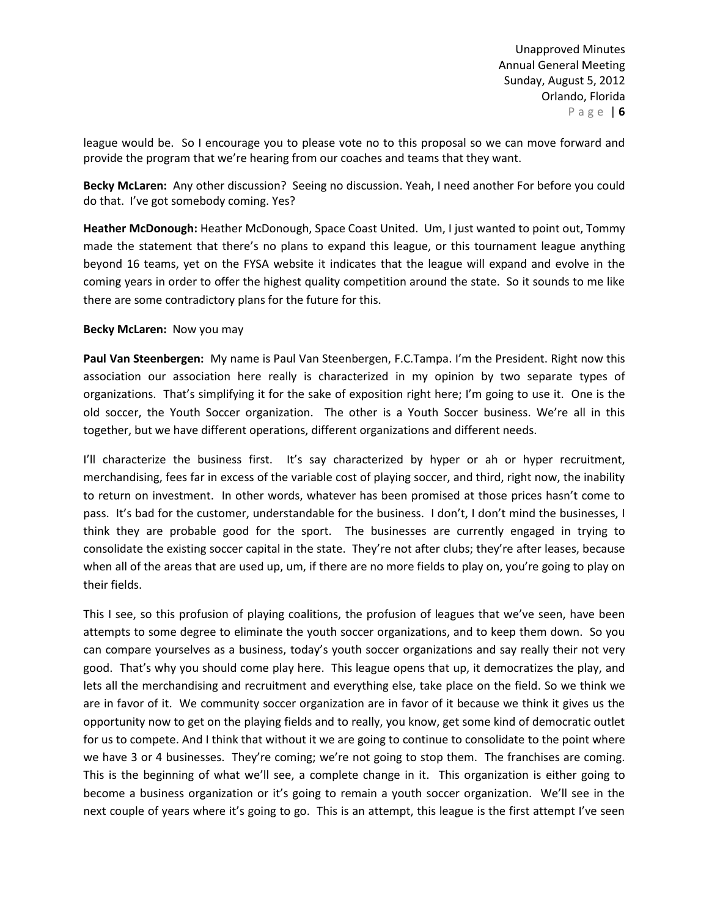league would be. So I encourage you to please vote no to this proposal so we can move forward and provide the program that we're hearing from our coaches and teams that they want.

**Becky McLaren:** Any other discussion? Seeing no discussion. Yeah, I need another For before you could do that. I've got somebody coming. Yes?

**Heather McDonough:** Heather McDonough, Space Coast United. Um, I just wanted to point out, Tommy made the statement that there's no plans to expand this league, or this tournament league anything beyond 16 teams, yet on the FYSA website it indicates that the league will expand and evolve in the coming years in order to offer the highest quality competition around the state. So it sounds to me like there are some contradictory plans for the future for this.

## **Becky McLaren:** Now you may

**Paul Van Steenbergen:** My name is Paul Van Steenbergen, F.C.Tampa. I'm the President. Right now this association our association here really is characterized in my opinion by two separate types of organizations. That's simplifying it for the sake of exposition right here; I'm going to use it. One is the old soccer, the Youth Soccer organization. The other is a Youth Soccer business. We're all in this together, but we have different operations, different organizations and different needs.

I'll characterize the business first. It's say characterized by hyper or ah or hyper recruitment, merchandising, fees far in excess of the variable cost of playing soccer, and third, right now, the inability to return on investment. In other words, whatever has been promised at those prices hasn't come to pass. It's bad for the customer, understandable for the business. I don't, I don't mind the businesses, I think they are probable good for the sport. The businesses are currently engaged in trying to consolidate the existing soccer capital in the state. They're not after clubs; they're after leases, because when all of the areas that are used up, um, if there are no more fields to play on, you're going to play on their fields.

This I see, so this profusion of playing coalitions, the profusion of leagues that we've seen, have been attempts to some degree to eliminate the youth soccer organizations, and to keep them down. So you can compare yourselves as a business, today's youth soccer organizations and say really their not very good. That's why you should come play here. This league opens that up, it democratizes the play, and lets all the merchandising and recruitment and everything else, take place on the field. So we think we are in favor of it. We community soccer organization are in favor of it because we think it gives us the opportunity now to get on the playing fields and to really, you know, get some kind of democratic outlet for us to compete. And I think that without it we are going to continue to consolidate to the point where we have 3 or 4 businesses. They're coming; we're not going to stop them. The franchises are coming. This is the beginning of what we'll see, a complete change in it. This organization is either going to become a business organization or it's going to remain a youth soccer organization. We'll see in the next couple of years where it's going to go. This is an attempt, this league is the first attempt I've seen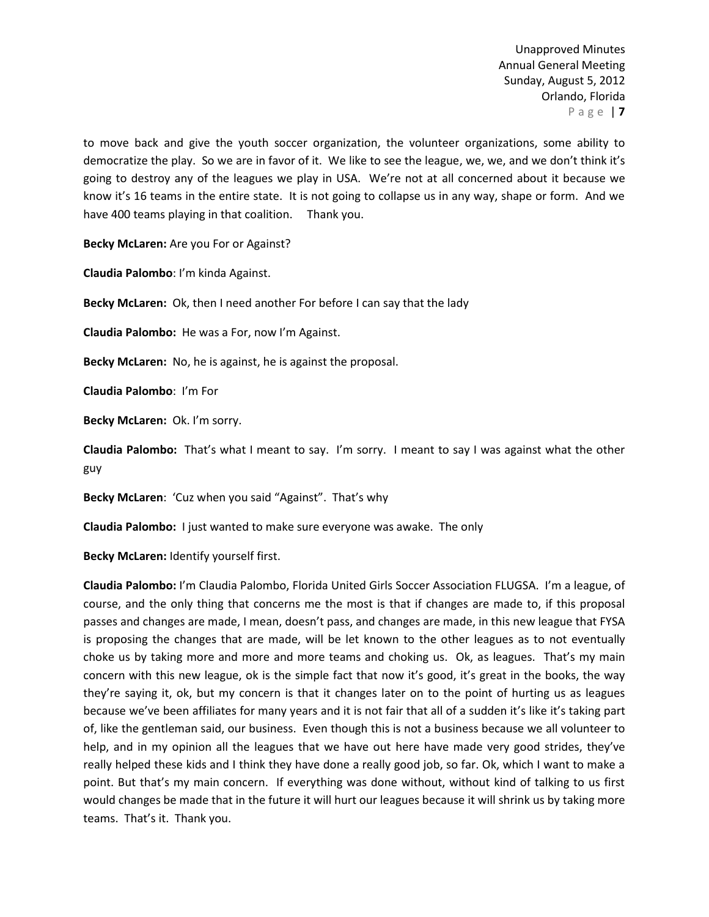to move back and give the youth soccer organization, the volunteer organizations, some ability to democratize the play. So we are in favor of it. We like to see the league, we, we, and we don't think it's going to destroy any of the leagues we play in USA. We're not at all concerned about it because we know it's 16 teams in the entire state. It is not going to collapse us in any way, shape or form. And we have 400 teams playing in that coalition. Thank you.

**Becky McLaren:** Are you For or Against?

**Claudia Palombo**: I'm kinda Against.

**Becky McLaren:** Ok, then I need another For before I can say that the lady

**Claudia Palombo:** He was a For, now I'm Against.

**Becky McLaren:** No, he is against, he is against the proposal.

**Claudia Palombo**: I'm For

**Becky McLaren:** Ok. I'm sorry.

**Claudia Palombo:** That's what I meant to say. I'm sorry. I meant to say I was against what the other guy

**Becky McLaren**: 'Cuz when you said "Against". That's why

**Claudia Palombo:** I just wanted to make sure everyone was awake. The only

**Becky McLaren:** Identify yourself first.

**Claudia Palombo:** I'm Claudia Palombo, Florida United Girls Soccer Association FLUGSA. I'm a league, of course, and the only thing that concerns me the most is that if changes are made to, if this proposal passes and changes are made, I mean, doesn't pass, and changes are made, in this new league that FYSA is proposing the changes that are made, will be let known to the other leagues as to not eventually choke us by taking more and more and more teams and choking us. Ok, as leagues. That's my main concern with this new league, ok is the simple fact that now it's good, it's great in the books, the way they're saying it, ok, but my concern is that it changes later on to the point of hurting us as leagues because we've been affiliates for many years and it is not fair that all of a sudden it's like it's taking part of, like the gentleman said, our business. Even though this is not a business because we all volunteer to help, and in my opinion all the leagues that we have out here have made very good strides, they've really helped these kids and I think they have done a really good job, so far. Ok, which I want to make a point. But that's my main concern. If everything was done without, without kind of talking to us first would changes be made that in the future it will hurt our leagues because it will shrink us by taking more teams. That's it. Thank you.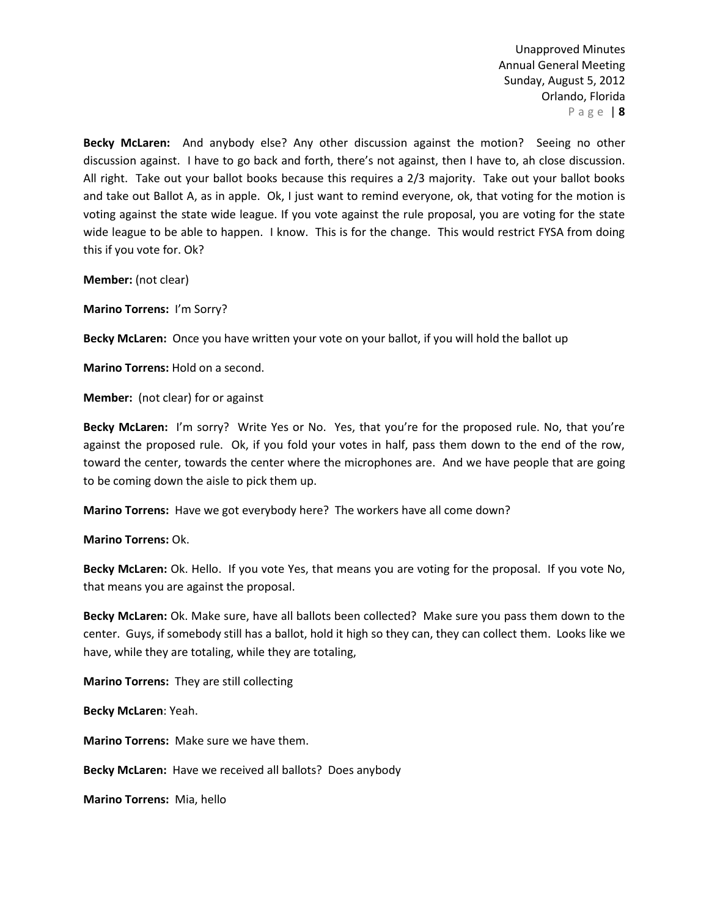**Becky McLaren:** And anybody else? Any other discussion against the motion? Seeing no other discussion against. I have to go back and forth, there's not against, then I have to, ah close discussion. All right. Take out your ballot books because this requires a 2/3 majority. Take out your ballot books and take out Ballot A, as in apple. Ok, I just want to remind everyone, ok, that voting for the motion is voting against the state wide league. If you vote against the rule proposal, you are voting for the state wide league to be able to happen. I know. This is for the change. This would restrict FYSA from doing this if you vote for. Ok?

**Member:** (not clear)

**Marino Torrens:** I'm Sorry?

**Becky McLaren:** Once you have written your vote on your ballot, if you will hold the ballot up

**Marino Torrens:** Hold on a second.

**Member:** (not clear) for or against

**Becky McLaren:** I'm sorry? Write Yes or No. Yes, that you're for the proposed rule. No, that you're against the proposed rule. Ok, if you fold your votes in half, pass them down to the end of the row, toward the center, towards the center where the microphones are. And we have people that are going to be coming down the aisle to pick them up.

**Marino Torrens:** Have we got everybody here? The workers have all come down?

**Marino Torrens:** Ok.

**Becky McLaren:** Ok. Hello. If you vote Yes, that means you are voting for the proposal. If you vote No, that means you are against the proposal.

**Becky McLaren:** Ok. Make sure, have all ballots been collected? Make sure you pass them down to the center. Guys, if somebody still has a ballot, hold it high so they can, they can collect them. Looks like we have, while they are totaling, while they are totaling,

**Marino Torrens:** They are still collecting

**Becky McLaren**: Yeah.

**Marino Torrens:** Make sure we have them.

**Becky McLaren:** Have we received all ballots? Does anybody

**Marino Torrens:** Mia, hello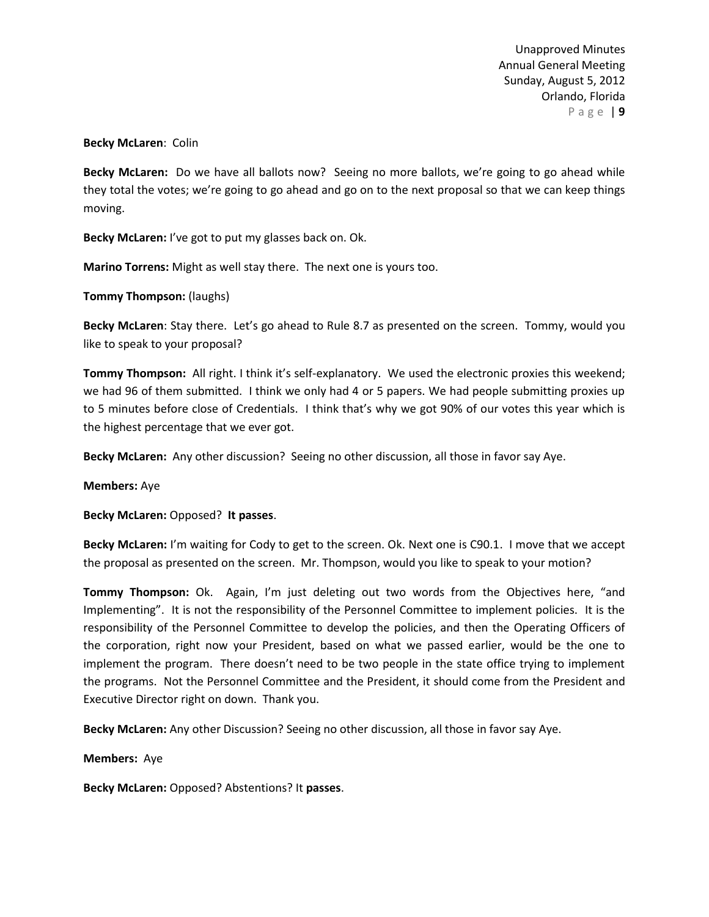### **Becky McLaren**: Colin

**Becky McLaren:** Do we have all ballots now? Seeing no more ballots, we're going to go ahead while they total the votes; we're going to go ahead and go on to the next proposal so that we can keep things moving.

**Becky McLaren:** I've got to put my glasses back on. Ok.

**Marino Torrens:** Might as well stay there. The next one is yours too.

**Tommy Thompson: (laughs)** 

**Becky McLaren**: Stay there. Let's go ahead to Rule 8.7 as presented on the screen. Tommy, would you like to speak to your proposal?

**Tommy Thompson:** All right. I think it's self-explanatory. We used the electronic proxies this weekend; we had 96 of them submitted. I think we only had 4 or 5 papers. We had people submitting proxies up to 5 minutes before close of Credentials. I think that's why we got 90% of our votes this year which is the highest percentage that we ever got.

**Becky McLaren:** Any other discussion? Seeing no other discussion, all those in favor say Aye.

**Members:** Aye

**Becky McLaren:** Opposed? **It passes**.

**Becky McLaren:** I'm waiting for Cody to get to the screen. Ok. Next one is C90.1. I move that we accept the proposal as presented on the screen. Mr. Thompson, would you like to speak to your motion?

**Tommy Thompson:** Ok. Again, I'm just deleting out two words from the Objectives here, "and Implementing". It is not the responsibility of the Personnel Committee to implement policies. It is the responsibility of the Personnel Committee to develop the policies, and then the Operating Officers of the corporation, right now your President, based on what we passed earlier, would be the one to implement the program. There doesn't need to be two people in the state office trying to implement the programs. Not the Personnel Committee and the President, it should come from the President and Executive Director right on down. Thank you.

**Becky McLaren:** Any other Discussion? Seeing no other discussion, all those in favor say Aye.

**Members:** Aye

**Becky McLaren:** Opposed? Abstentions? It **passes**.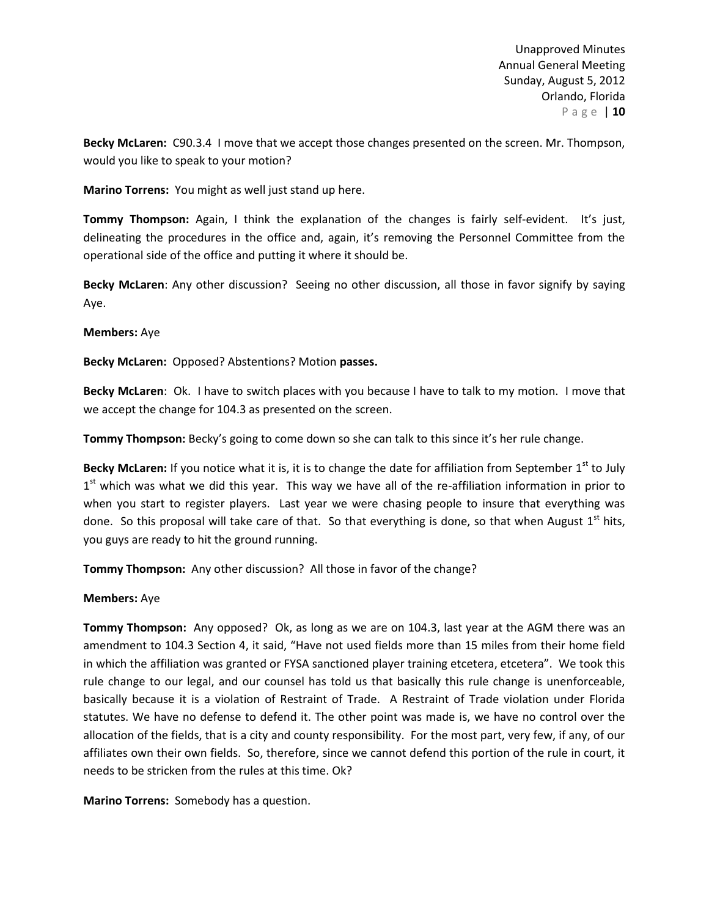**Becky McLaren:** C90.3.4 I move that we accept those changes presented on the screen. Mr. Thompson, would you like to speak to your motion?

**Marino Torrens:** You might as well just stand up here.

**Tommy Thompson:** Again, I think the explanation of the changes is fairly self-evident. It's just, delineating the procedures in the office and, again, it's removing the Personnel Committee from the operational side of the office and putting it where it should be.

**Becky McLaren**: Any other discussion? Seeing no other discussion, all those in favor signify by saying Aye.

**Members:** Aye

**Becky McLaren:** Opposed? Abstentions? Motion **passes.**

**Becky McLaren**: Ok. I have to switch places with you because I have to talk to my motion. I move that we accept the change for 104.3 as presented on the screen.

**Tommy Thompson:** Becky's going to come down so she can talk to this since it's her rule change.

**Becky McLaren:** If you notice what it is, it is to change the date for affiliation from September 1<sup>st</sup> to July  $1<sup>st</sup>$  which was what we did this year. This way we have all of the re-affiliation information in prior to when you start to register players. Last year we were chasing people to insure that everything was done. So this proposal will take care of that. So that everything is done, so that when August  $1<sup>st</sup>$  hits, you guys are ready to hit the ground running.

**Tommy Thompson:** Any other discussion? All those in favor of the change?

### **Members:** Aye

**Tommy Thompson:** Any opposed? Ok, as long as we are on 104.3, last year at the AGM there was an amendment to 104.3 Section 4, it said, "Have not used fields more than 15 miles from their home field in which the affiliation was granted or FYSA sanctioned player training etcetera, etcetera". We took this rule change to our legal, and our counsel has told us that basically this rule change is unenforceable, basically because it is a violation of Restraint of Trade. A Restraint of Trade violation under Florida statutes. We have no defense to defend it. The other point was made is, we have no control over the allocation of the fields, that is a city and county responsibility. For the most part, very few, if any, of our affiliates own their own fields. So, therefore, since we cannot defend this portion of the rule in court, it needs to be stricken from the rules at this time. Ok?

**Marino Torrens:** Somebody has a question.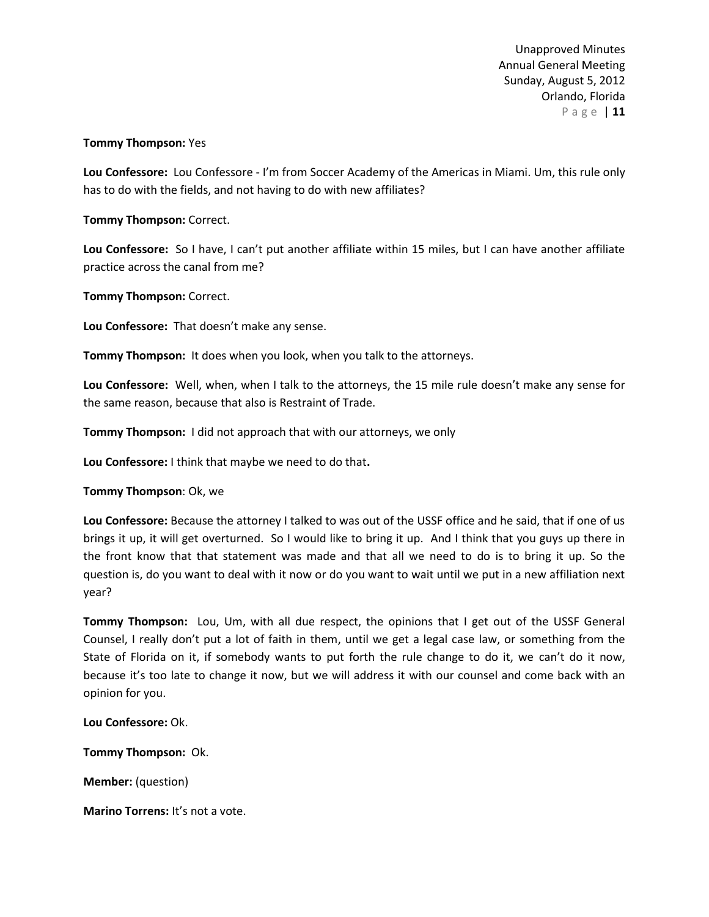# **Tommy Thompson:** Yes

**Lou Confessore:** Lou Confessore - I'm from Soccer Academy of the Americas in Miami. Um, this rule only has to do with the fields, and not having to do with new affiliates?

**Tommy Thompson:** Correct.

**Lou Confessore:** So I have, I can't put another affiliate within 15 miles, but I can have another affiliate practice across the canal from me?

**Tommy Thompson:** Correct.

**Lou Confessore:** That doesn't make any sense.

**Tommy Thompson:** It does when you look, when you talk to the attorneys.

**Lou Confessore:** Well, when, when I talk to the attorneys, the 15 mile rule doesn't make any sense for the same reason, because that also is Restraint of Trade.

**Tommy Thompson:** I did not approach that with our attorneys, we only

**Lou Confessore:** I think that maybe we need to do that**.**

**Tommy Thompson**: Ok, we

**Lou Confessore:** Because the attorney I talked to was out of the USSF office and he said, that if one of us brings it up, it will get overturned. So I would like to bring it up. And I think that you guys up there in the front know that that statement was made and that all we need to do is to bring it up. So the question is, do you want to deal with it now or do you want to wait until we put in a new affiliation next year?

**Tommy Thompson:** Lou, Um, with all due respect, the opinions that I get out of the USSF General Counsel, I really don't put a lot of faith in them, until we get a legal case law, or something from the State of Florida on it, if somebody wants to put forth the rule change to do it, we can't do it now, because it's too late to change it now, but we will address it with our counsel and come back with an opinion for you.

**Lou Confessore:** Ok.

**Tommy Thompson:** Ok.

**Member:** (question)

**Marino Torrens:** It's not a vote.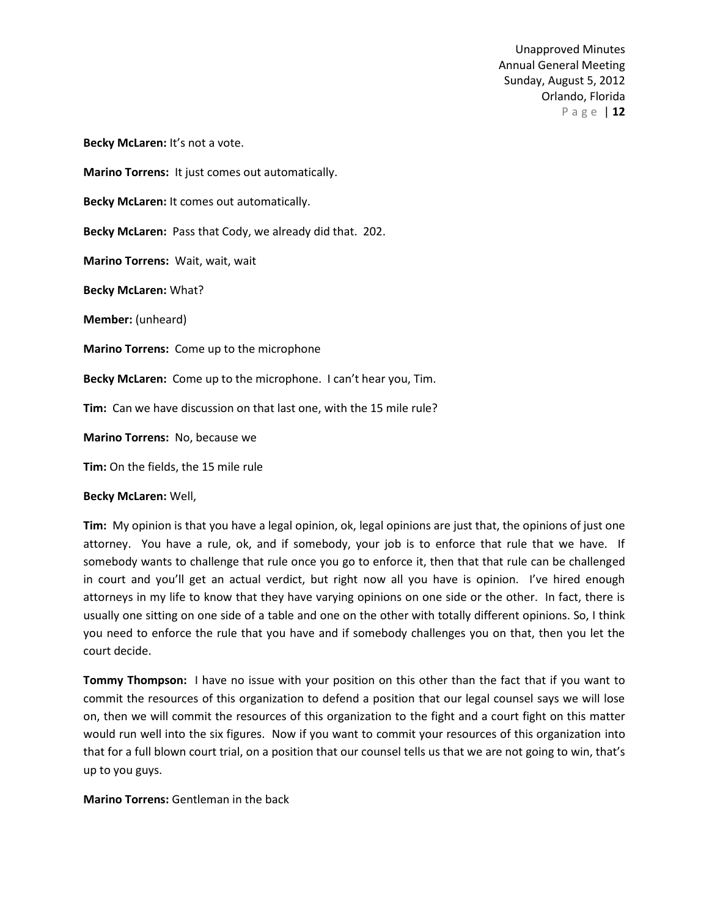**Becky McLaren:** It's not a vote. **Marino Torrens:** It just comes out automatically. **Becky McLaren:** It comes out automatically. **Becky McLaren:** Pass that Cody, we already did that. 202. **Marino Torrens:** Wait, wait, wait **Becky McLaren:** What? **Member:** (unheard) **Marino Torrens:** Come up to the microphone **Becky McLaren:** Come up to the microphone. I can't hear you, Tim. **Tim:** Can we have discussion on that last one, with the 15 mile rule? **Marino Torrens:** No, because we **Tim:** On the fields, the 15 mile rule

**Becky McLaren:** Well,

**Tim:** My opinion is that you have a legal opinion, ok, legal opinions are just that, the opinions of just one attorney. You have a rule, ok, and if somebody, your job is to enforce that rule that we have. If somebody wants to challenge that rule once you go to enforce it, then that that rule can be challenged in court and you'll get an actual verdict, but right now all you have is opinion. I've hired enough attorneys in my life to know that they have varying opinions on one side or the other. In fact, there is usually one sitting on one side of a table and one on the other with totally different opinions. So, I think you need to enforce the rule that you have and if somebody challenges you on that, then you let the court decide.

**Tommy Thompson:** I have no issue with your position on this other than the fact that if you want to commit the resources of this organization to defend a position that our legal counsel says we will lose on, then we will commit the resources of this organization to the fight and a court fight on this matter would run well into the six figures. Now if you want to commit your resources of this organization into that for a full blown court trial, on a position that our counsel tells us that we are not going to win, that's up to you guys.

**Marino Torrens:** Gentleman in the back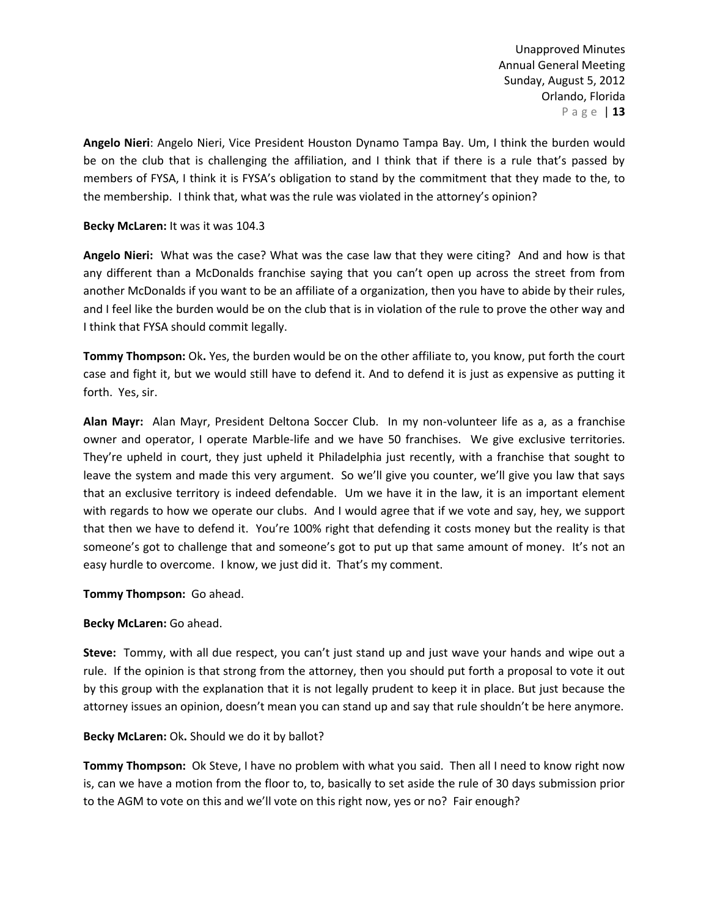**Angelo Nieri**: Angelo Nieri, Vice President Houston Dynamo Tampa Bay. Um, I think the burden would be on the club that is challenging the affiliation, and I think that if there is a rule that's passed by members of FYSA, I think it is FYSA's obligation to stand by the commitment that they made to the, to the membership. I think that, what was the rule was violated in the attorney's opinion?

# **Becky McLaren:** It was it was 104.3

**Angelo Nieri:** What was the case? What was the case law that they were citing? And and how is that any different than a McDonalds franchise saying that you can't open up across the street from from another McDonalds if you want to be an affiliate of a organization, then you have to abide by their rules, and I feel like the burden would be on the club that is in violation of the rule to prove the other way and I think that FYSA should commit legally.

**Tommy Thompson:** Ok**.** Yes, the burden would be on the other affiliate to, you know, put forth the court case and fight it, but we would still have to defend it. And to defend it is just as expensive as putting it forth. Yes, sir.

**Alan Mayr:** Alan Mayr, President Deltona Soccer Club. In my non-volunteer life as a, as a franchise owner and operator, I operate Marble-life and we have 50 franchises. We give exclusive territories. They're upheld in court, they just upheld it Philadelphia just recently, with a franchise that sought to leave the system and made this very argument. So we'll give you counter, we'll give you law that says that an exclusive territory is indeed defendable. Um we have it in the law, it is an important element with regards to how we operate our clubs. And I would agree that if we vote and say, hey, we support that then we have to defend it. You're 100% right that defending it costs money but the reality is that someone's got to challenge that and someone's got to put up that same amount of money. It's not an easy hurdle to overcome. I know, we just did it. That's my comment.

# **Tommy Thompson:** Go ahead.

# **Becky McLaren:** Go ahead.

**Steve:** Tommy, with all due respect, you can't just stand up and just wave your hands and wipe out a rule. If the opinion is that strong from the attorney, then you should put forth a proposal to vote it out by this group with the explanation that it is not legally prudent to keep it in place. But just because the attorney issues an opinion, doesn't mean you can stand up and say that rule shouldn't be here anymore.

### **Becky McLaren:** Ok**.** Should we do it by ballot?

**Tommy Thompson:** Ok Steve, I have no problem with what you said. Then all I need to know right now is, can we have a motion from the floor to, to, basically to set aside the rule of 30 days submission prior to the AGM to vote on this and we'll vote on this right now, yes or no? Fair enough?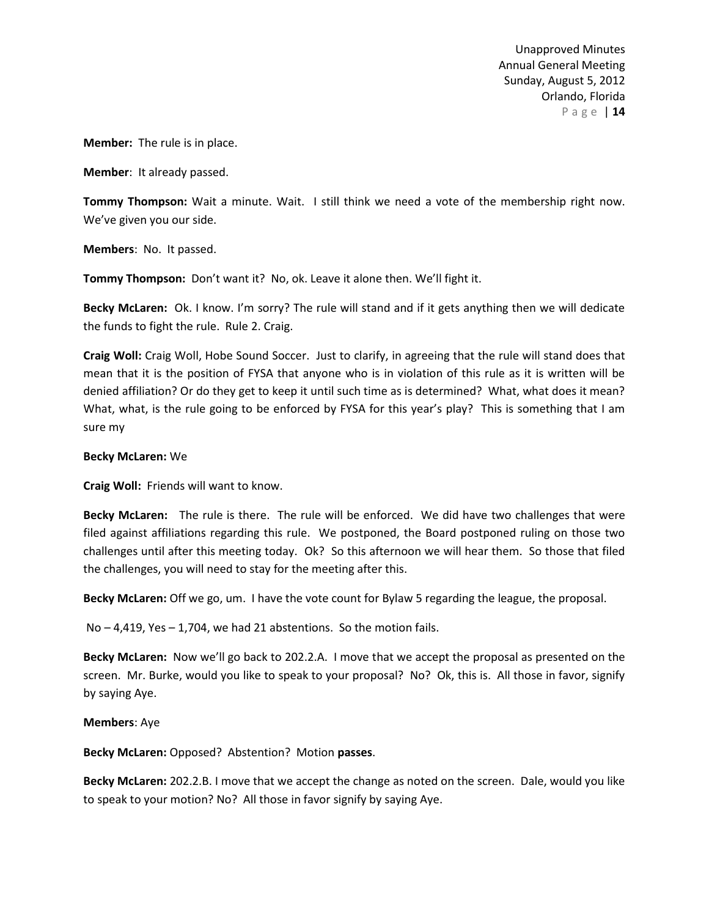**Member:** The rule is in place.

**Member**: It already passed.

**Tommy Thompson:** Wait a minute. Wait. I still think we need a vote of the membership right now. We've given you our side.

**Members**: No. It passed.

**Tommy Thompson:** Don't want it? No, ok. Leave it alone then. We'll fight it.

**Becky McLaren:** Ok. I know. I'm sorry? The rule will stand and if it gets anything then we will dedicate the funds to fight the rule. Rule 2. Craig.

**Craig Woll:** Craig Woll, Hobe Sound Soccer. Just to clarify, in agreeing that the rule will stand does that mean that it is the position of FYSA that anyone who is in violation of this rule as it is written will be denied affiliation? Or do they get to keep it until such time as is determined? What, what does it mean? What, what, is the rule going to be enforced by FYSA for this year's play? This is something that I am sure my

### **Becky McLaren:** We

**Craig Woll:** Friends will want to know.

**Becky McLaren:** The rule is there. The rule will be enforced. We did have two challenges that were filed against affiliations regarding this rule. We postponed, the Board postponed ruling on those two challenges until after this meeting today. Ok? So this afternoon we will hear them. So those that filed the challenges, you will need to stay for the meeting after this.

**Becky McLaren:** Off we go, um. I have the vote count for Bylaw 5 regarding the league, the proposal.

No – 4,419, Yes – 1,704, we had 21 abstentions. So the motion fails.

**Becky McLaren:** Now we'll go back to 202.2.A. I move that we accept the proposal as presented on the screen. Mr. Burke, would you like to speak to your proposal? No? Ok, this is. All those in favor, signify by saying Aye.

**Members**: Aye

**Becky McLaren:** Opposed? Abstention? Motion **passes**.

**Becky McLaren:** 202.2.B. I move that we accept the change as noted on the screen. Dale, would you like to speak to your motion? No? All those in favor signify by saying Aye.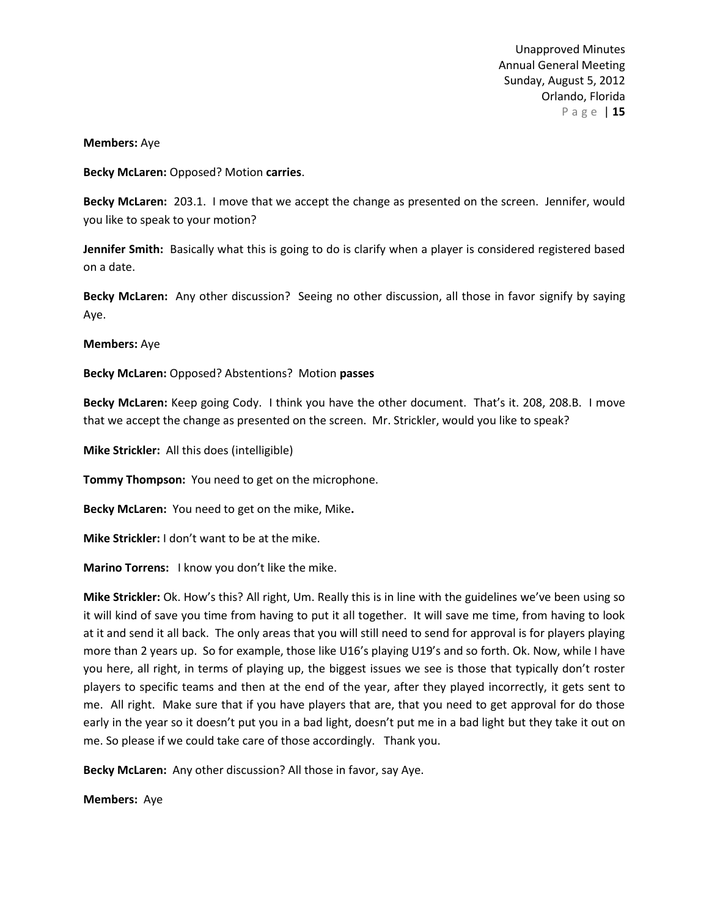### **Members:** Aye

**Becky McLaren:** Opposed? Motion **carries**.

**Becky McLaren:** 203.1. I move that we accept the change as presented on the screen. Jennifer, would you like to speak to your motion?

**Jennifer Smith:** Basically what this is going to do is clarify when a player is considered registered based on a date.

**Becky McLaren:** Any other discussion? Seeing no other discussion, all those in favor signify by saying Aye.

**Members:** Aye

**Becky McLaren:** Opposed? Abstentions? Motion **passes**

**Becky McLaren:** Keep going Cody. I think you have the other document. That's it. 208, 208.B. I move that we accept the change as presented on the screen. Mr. Strickler, would you like to speak?

**Mike Strickler:** All this does (intelligible)

**Tommy Thompson:** You need to get on the microphone.

**Becky McLaren:** You need to get on the mike, Mike**.**

**Mike Strickler:** I don't want to be at the mike.

**Marino Torrens:** I know you don't like the mike.

**Mike Strickler:** Ok. How's this? All right, Um. Really this is in line with the guidelines we've been using so it will kind of save you time from having to put it all together. It will save me time, from having to look at it and send it all back. The only areas that you will still need to send for approval is for players playing more than 2 years up. So for example, those like U16's playing U19's and so forth. Ok. Now, while I have you here, all right, in terms of playing up, the biggest issues we see is those that typically don't roster players to specific teams and then at the end of the year, after they played incorrectly, it gets sent to me. All right. Make sure that if you have players that are, that you need to get approval for do those early in the year so it doesn't put you in a bad light, doesn't put me in a bad light but they take it out on me. So please if we could take care of those accordingly. Thank you.

**Becky McLaren:** Any other discussion? All those in favor, say Aye.

**Members:** Aye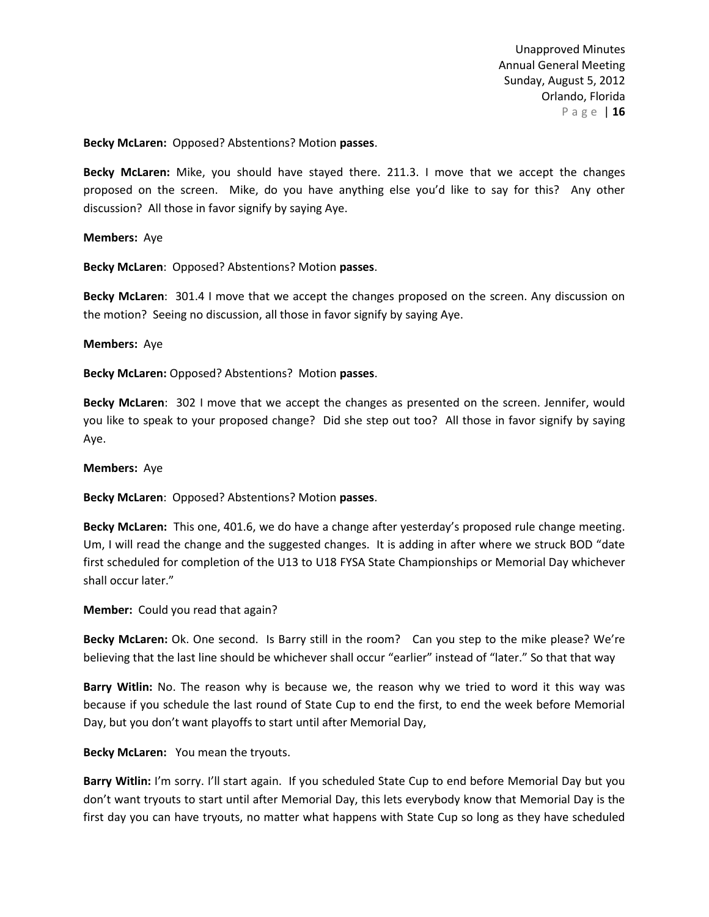**Becky McLaren:** Opposed? Abstentions? Motion **passes**.

**Becky McLaren:** Mike, you should have stayed there. 211.3. I move that we accept the changes proposed on the screen. Mike, do you have anything else you'd like to say for this? Any other discussion? All those in favor signify by saying Aye.

**Members:** Aye

**Becky McLaren**: Opposed? Abstentions? Motion **passes**.

**Becky McLaren**: 301.4 I move that we accept the changes proposed on the screen. Any discussion on the motion? Seeing no discussion, all those in favor signify by saying Aye.

**Members:** Aye

**Becky McLaren:** Opposed? Abstentions? Motion **passes**.

**Becky McLaren**: 302 I move that we accept the changes as presented on the screen. Jennifer, would you like to speak to your proposed change? Did she step out too? All those in favor signify by saying Aye.

#### **Members:** Aye

**Becky McLaren**: Opposed? Abstentions? Motion **passes**.

**Becky McLaren:** This one, 401.6, we do have a change after yesterday's proposed rule change meeting. Um, I will read the change and the suggested changes. It is adding in after where we struck BOD "date first scheduled for completion of the U13 to U18 FYSA State Championships or Memorial Day whichever shall occur later."

**Member:** Could you read that again?

**Becky McLaren:** Ok. One second. Is Barry still in the room? Can you step to the mike please? We're believing that the last line should be whichever shall occur "earlier" instead of "later." So that that way

**Barry Witlin:** No. The reason why is because we, the reason why we tried to word it this way was because if you schedule the last round of State Cup to end the first, to end the week before Memorial Day, but you don't want playoffs to start until after Memorial Day,

**Becky McLaren:** You mean the tryouts.

**Barry Witlin:** I'm sorry. I'll start again. If you scheduled State Cup to end before Memorial Day but you don't want tryouts to start until after Memorial Day, this lets everybody know that Memorial Day is the first day you can have tryouts, no matter what happens with State Cup so long as they have scheduled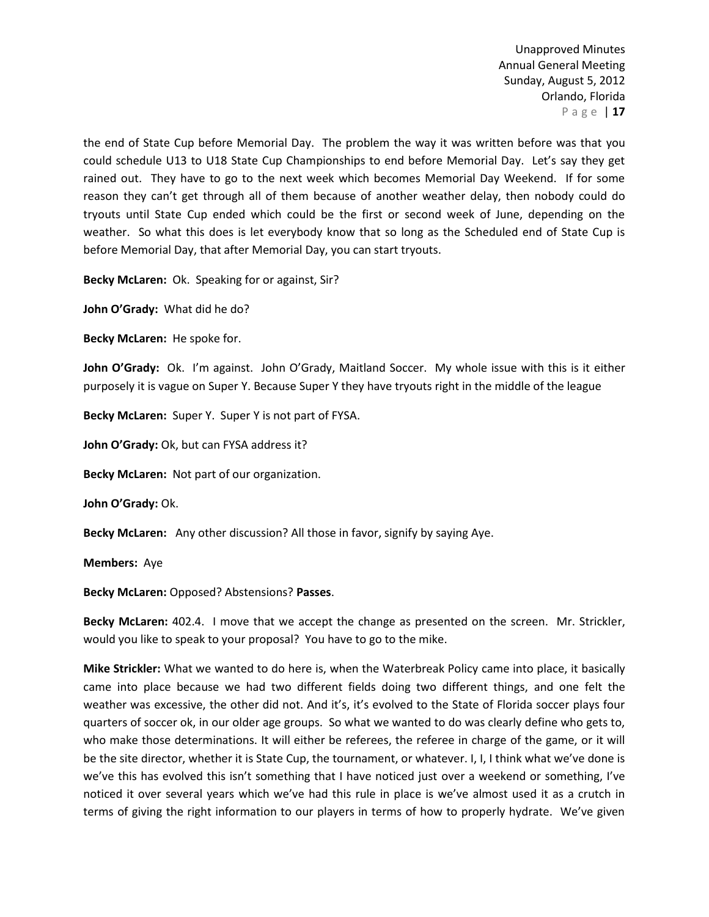the end of State Cup before Memorial Day. The problem the way it was written before was that you could schedule U13 to U18 State Cup Championships to end before Memorial Day. Let's say they get rained out. They have to go to the next week which becomes Memorial Day Weekend. If for some reason they can't get through all of them because of another weather delay, then nobody could do tryouts until State Cup ended which could be the first or second week of June, depending on the weather. So what this does is let everybody know that so long as the Scheduled end of State Cup is before Memorial Day, that after Memorial Day, you can start tryouts.

**Becky McLaren:** Ok. Speaking for or against, Sir?

**John O'Grady:** What did he do?

**Becky McLaren:** He spoke for.

**John O'Grady:** Ok. I'm against. John O'Grady, Maitland Soccer. My whole issue with this is it either purposely it is vague on Super Y. Because Super Y they have tryouts right in the middle of the league

**Becky McLaren:** Super Y. Super Y is not part of FYSA.

John O'Grady: Ok, but can FYSA address it?

**Becky McLaren:** Not part of our organization.

**John O'Grady:** Ok.

**Becky McLaren:** Any other discussion? All those in favor, signify by saying Aye.

**Members:** Aye

**Becky McLaren:** Opposed? Abstensions? **Passes**.

**Becky McLaren:** 402.4. I move that we accept the change as presented on the screen. Mr. Strickler, would you like to speak to your proposal? You have to go to the mike.

**Mike Strickler:** What we wanted to do here is, when the Waterbreak Policy came into place, it basically came into place because we had two different fields doing two different things, and one felt the weather was excessive, the other did not. And it's, it's evolved to the State of Florida soccer plays four quarters of soccer ok, in our older age groups. So what we wanted to do was clearly define who gets to, who make those determinations. It will either be referees, the referee in charge of the game, or it will be the site director, whether it is State Cup, the tournament, or whatever. I, I, I think what we've done is we've this has evolved this isn't something that I have noticed just over a weekend or something, I've noticed it over several years which we've had this rule in place is we've almost used it as a crutch in terms of giving the right information to our players in terms of how to properly hydrate. We've given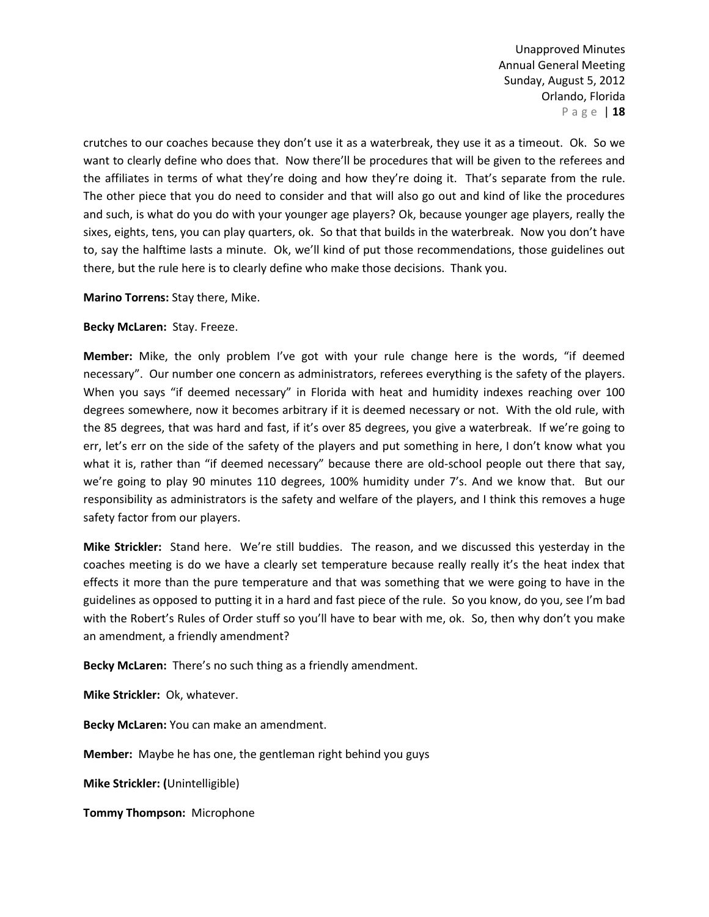crutches to our coaches because they don't use it as a waterbreak, they use it as a timeout. Ok. So we want to clearly define who does that. Now there'll be procedures that will be given to the referees and the affiliates in terms of what they're doing and how they're doing it. That's separate from the rule. The other piece that you do need to consider and that will also go out and kind of like the procedures and such, is what do you do with your younger age players? Ok, because younger age players, really the sixes, eights, tens, you can play quarters, ok. So that that builds in the waterbreak. Now you don't have to, say the halftime lasts a minute. Ok, we'll kind of put those recommendations, those guidelines out there, but the rule here is to clearly define who make those decisions. Thank you.

**Marino Torrens:** Stay there, Mike.

## **Becky McLaren:** Stay. Freeze.

**Member:** Mike, the only problem I've got with your rule change here is the words, "if deemed necessary". Our number one concern as administrators, referees everything is the safety of the players. When you says "if deemed necessary" in Florida with heat and humidity indexes reaching over 100 degrees somewhere, now it becomes arbitrary if it is deemed necessary or not. With the old rule, with the 85 degrees, that was hard and fast, if it's over 85 degrees, you give a waterbreak. If we're going to err, let's err on the side of the safety of the players and put something in here, I don't know what you what it is, rather than "if deemed necessary" because there are old-school people out there that say, we're going to play 90 minutes 110 degrees, 100% humidity under 7's. And we know that. But our responsibility as administrators is the safety and welfare of the players, and I think this removes a huge safety factor from our players.

**Mike Strickler:** Stand here. We're still buddies. The reason, and we discussed this yesterday in the coaches meeting is do we have a clearly set temperature because really really it's the heat index that effects it more than the pure temperature and that was something that we were going to have in the guidelines as opposed to putting it in a hard and fast piece of the rule. So you know, do you, see I'm bad with the Robert's Rules of Order stuff so you'll have to bear with me, ok. So, then why don't you make an amendment, a friendly amendment?

**Becky McLaren:** There's no such thing as a friendly amendment.

**Mike Strickler:** Ok, whatever.

**Becky McLaren:** You can make an amendment.

**Member:** Maybe he has one, the gentleman right behind you guys

**Mike Strickler: (**Unintelligible)

**Tommy Thompson:** Microphone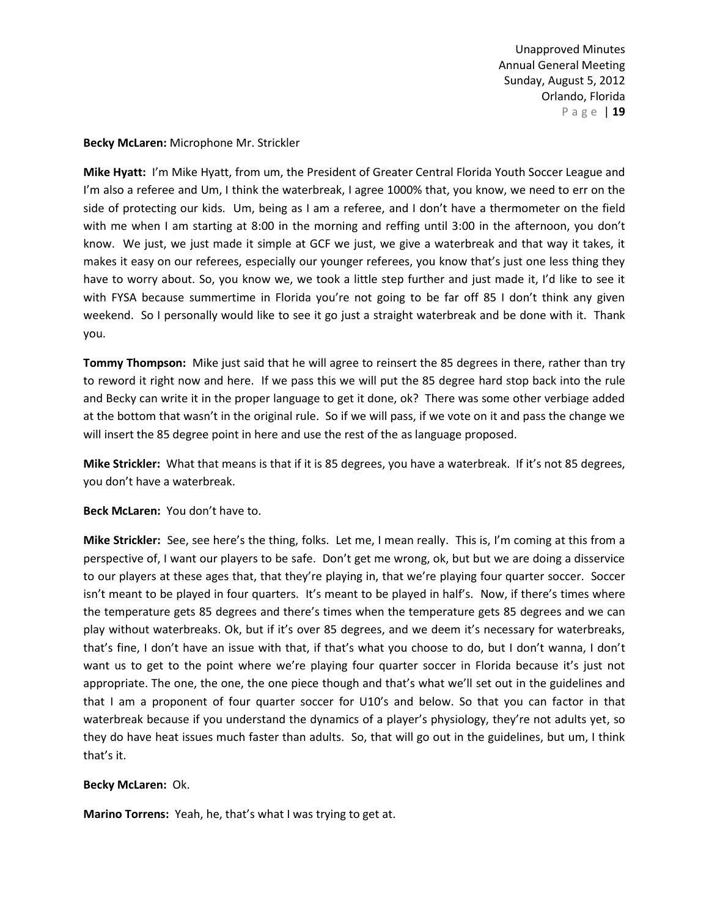### **Becky McLaren:** Microphone Mr. Strickler

**Mike Hyatt:** I'm Mike Hyatt, from um, the President of Greater Central Florida Youth Soccer League and I'm also a referee and Um, I think the waterbreak, I agree 1000% that, you know, we need to err on the side of protecting our kids. Um, being as I am a referee, and I don't have a thermometer on the field with me when I am starting at 8:00 in the morning and reffing until 3:00 in the afternoon, you don't know. We just, we just made it simple at GCF we just, we give a waterbreak and that way it takes, it makes it easy on our referees, especially our younger referees, you know that's just one less thing they have to worry about. So, you know we, we took a little step further and just made it, I'd like to see it with FYSA because summertime in Florida you're not going to be far off 85 I don't think any given weekend. So I personally would like to see it go just a straight waterbreak and be done with it. Thank you.

**Tommy Thompson:** Mike just said that he will agree to reinsert the 85 degrees in there, rather than try to reword it right now and here. If we pass this we will put the 85 degree hard stop back into the rule and Becky can write it in the proper language to get it done, ok? There was some other verbiage added at the bottom that wasn't in the original rule. So if we will pass, if we vote on it and pass the change we will insert the 85 degree point in here and use the rest of the as language proposed.

**Mike Strickler:** What that means is that if it is 85 degrees, you have a waterbreak. If it's not 85 degrees, you don't have a waterbreak.

**Beck McLaren:** You don't have to.

**Mike Strickler:** See, see here's the thing, folks. Let me, I mean really. This is, I'm coming at this from a perspective of, I want our players to be safe. Don't get me wrong, ok, but but we are doing a disservice to our players at these ages that, that they're playing in, that we're playing four quarter soccer. Soccer isn't meant to be played in four quarters. It's meant to be played in half's. Now, if there's times where the temperature gets 85 degrees and there's times when the temperature gets 85 degrees and we can play without waterbreaks. Ok, but if it's over 85 degrees, and we deem it's necessary for waterbreaks, that's fine, I don't have an issue with that, if that's what you choose to do, but I don't wanna, I don't want us to get to the point where we're playing four quarter soccer in Florida because it's just not appropriate. The one, the one, the one piece though and that's what we'll set out in the guidelines and that I am a proponent of four quarter soccer for U10's and below. So that you can factor in that waterbreak because if you understand the dynamics of a player's physiology, they're not adults yet, so they do have heat issues much faster than adults. So, that will go out in the guidelines, but um, I think that's it.

### **Becky McLaren:** Ok.

**Marino Torrens:** Yeah, he, that's what I was trying to get at.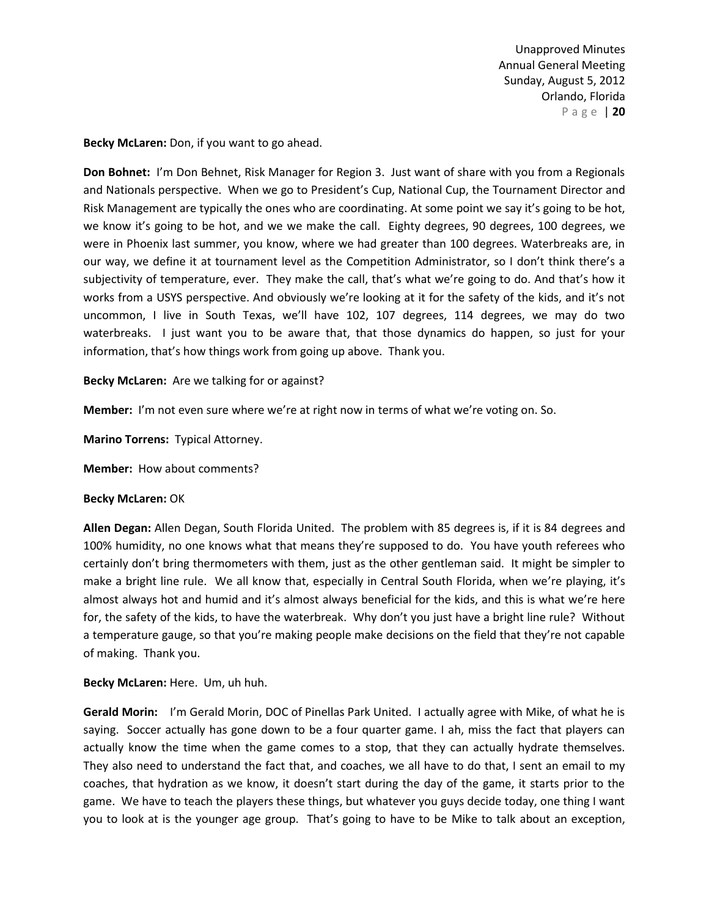**Becky McLaren:** Don, if you want to go ahead.

**Don Bohnet:** I'm Don Behnet, Risk Manager for Region 3. Just want of share with you from a Regionals and Nationals perspective. When we go to President's Cup, National Cup, the Tournament Director and Risk Management are typically the ones who are coordinating. At some point we say it's going to be hot, we know it's going to be hot, and we we make the call. Eighty degrees, 90 degrees, 100 degrees, we were in Phoenix last summer, you know, where we had greater than 100 degrees. Waterbreaks are, in our way, we define it at tournament level as the Competition Administrator, so I don't think there's a subjectivity of temperature, ever. They make the call, that's what we're going to do. And that's how it works from a USYS perspective. And obviously we're looking at it for the safety of the kids, and it's not uncommon, I live in South Texas, we'll have 102, 107 degrees, 114 degrees, we may do two waterbreaks. I just want you to be aware that, that those dynamics do happen, so just for your information, that's how things work from going up above. Thank you.

**Becky McLaren:** Are we talking for or against?

**Member:** I'm not even sure where we're at right now in terms of what we're voting on. So.

**Marino Torrens:** Typical Attorney.

**Member:** How about comments?

#### **Becky McLaren:** OK

**Allen Degan:** Allen Degan, South Florida United. The problem with 85 degrees is, if it is 84 degrees and 100% humidity, no one knows what that means they're supposed to do. You have youth referees who certainly don't bring thermometers with them, just as the other gentleman said. It might be simpler to make a bright line rule. We all know that, especially in Central South Florida, when we're playing, it's almost always hot and humid and it's almost always beneficial for the kids, and this is what we're here for, the safety of the kids, to have the waterbreak. Why don't you just have a bright line rule? Without a temperature gauge, so that you're making people make decisions on the field that they're not capable of making. Thank you.

**Becky McLaren:** Here. Um, uh huh.

**Gerald Morin:** I'm Gerald Morin, DOC of Pinellas Park United. I actually agree with Mike, of what he is saying. Soccer actually has gone down to be a four quarter game. I ah, miss the fact that players can actually know the time when the game comes to a stop, that they can actually hydrate themselves. They also need to understand the fact that, and coaches, we all have to do that, I sent an email to my coaches, that hydration as we know, it doesn't start during the day of the game, it starts prior to the game. We have to teach the players these things, but whatever you guys decide today, one thing I want you to look at is the younger age group. That's going to have to be Mike to talk about an exception,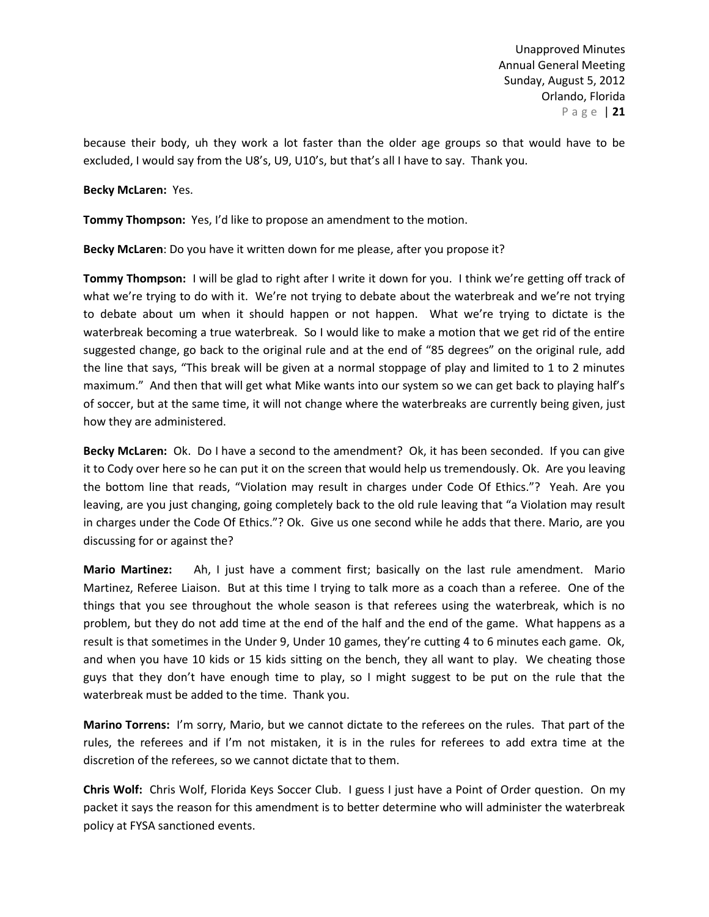because their body, uh they work a lot faster than the older age groups so that would have to be excluded, I would say from the U8's, U9, U10's, but that's all I have to say. Thank you.

### **Becky McLaren:** Yes.

**Tommy Thompson:** Yes, I'd like to propose an amendment to the motion.

**Becky McLaren**: Do you have it written down for me please, after you propose it?

**Tommy Thompson:** I will be glad to right after I write it down for you. I think we're getting off track of what we're trying to do with it. We're not trying to debate about the waterbreak and we're not trying to debate about um when it should happen or not happen. What we're trying to dictate is the waterbreak becoming a true waterbreak. So I would like to make a motion that we get rid of the entire suggested change, go back to the original rule and at the end of "85 degrees" on the original rule, add the line that says, "This break will be given at a normal stoppage of play and limited to 1 to 2 minutes maximum." And then that will get what Mike wants into our system so we can get back to playing half's of soccer, but at the same time, it will not change where the waterbreaks are currently being given, just how they are administered.

**Becky McLaren:** Ok. Do I have a second to the amendment? Ok, it has been seconded. If you can give it to Cody over here so he can put it on the screen that would help us tremendously. Ok. Are you leaving the bottom line that reads, "Violation may result in charges under Code Of Ethics."? Yeah. Are you leaving, are you just changing, going completely back to the old rule leaving that "a Violation may result in charges under the Code Of Ethics."? Ok. Give us one second while he adds that there. Mario, are you discussing for or against the?

**Mario Martinez:** Ah, I just have a comment first; basically on the last rule amendment. Mario Martinez, Referee Liaison. But at this time I trying to talk more as a coach than a referee. One of the things that you see throughout the whole season is that referees using the waterbreak, which is no problem, but they do not add time at the end of the half and the end of the game. What happens as a result is that sometimes in the Under 9, Under 10 games, they're cutting 4 to 6 minutes each game. Ok, and when you have 10 kids or 15 kids sitting on the bench, they all want to play. We cheating those guys that they don't have enough time to play, so I might suggest to be put on the rule that the waterbreak must be added to the time. Thank you.

**Marino Torrens:** I'm sorry, Mario, but we cannot dictate to the referees on the rules. That part of the rules, the referees and if I'm not mistaken, it is in the rules for referees to add extra time at the discretion of the referees, so we cannot dictate that to them.

**Chris Wolf:** Chris Wolf, Florida Keys Soccer Club. I guess I just have a Point of Order question. On my packet it says the reason for this amendment is to better determine who will administer the waterbreak policy at FYSA sanctioned events.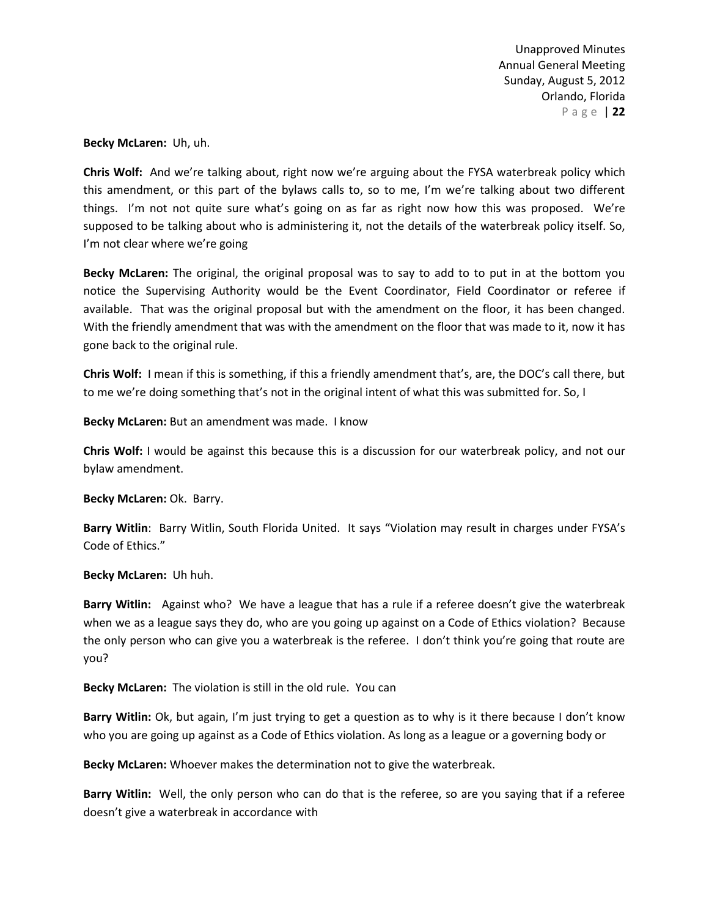**Becky McLaren:** Uh, uh.

**Chris Wolf:** And we're talking about, right now we're arguing about the FYSA waterbreak policy which this amendment, or this part of the bylaws calls to, so to me, I'm we're talking about two different things. I'm not not quite sure what's going on as far as right now how this was proposed. We're supposed to be talking about who is administering it, not the details of the waterbreak policy itself. So, I'm not clear where we're going

**Becky McLaren:** The original, the original proposal was to say to add to to put in at the bottom you notice the Supervising Authority would be the Event Coordinator, Field Coordinator or referee if available. That was the original proposal but with the amendment on the floor, it has been changed. With the friendly amendment that was with the amendment on the floor that was made to it, now it has gone back to the original rule.

**Chris Wolf:** I mean if this is something, if this a friendly amendment that's, are, the DOC's call there, but to me we're doing something that's not in the original intent of what this was submitted for. So, I

**Becky McLaren:** But an amendment was made. I know

**Chris Wolf:** I would be against this because this is a discussion for our waterbreak policy, and not our bylaw amendment.

**Becky McLaren:** Ok. Barry.

**Barry Witlin**: Barry Witlin, South Florida United. It says "Violation may result in charges under FYSA's Code of Ethics."

**Becky McLaren:** Uh huh.

**Barry Witlin:** Against who? We have a league that has a rule if a referee doesn't give the waterbreak when we as a league says they do, who are you going up against on a Code of Ethics violation? Because the only person who can give you a waterbreak is the referee. I don't think you're going that route are you?

**Becky McLaren:** The violation is still in the old rule. You can

**Barry Witlin:** Ok, but again, I'm just trying to get a question as to why is it there because I don't know who you are going up against as a Code of Ethics violation. As long as a league or a governing body or

**Becky McLaren:** Whoever makes the determination not to give the waterbreak.

**Barry Witlin:** Well, the only person who can do that is the referee, so are you saying that if a referee doesn't give a waterbreak in accordance with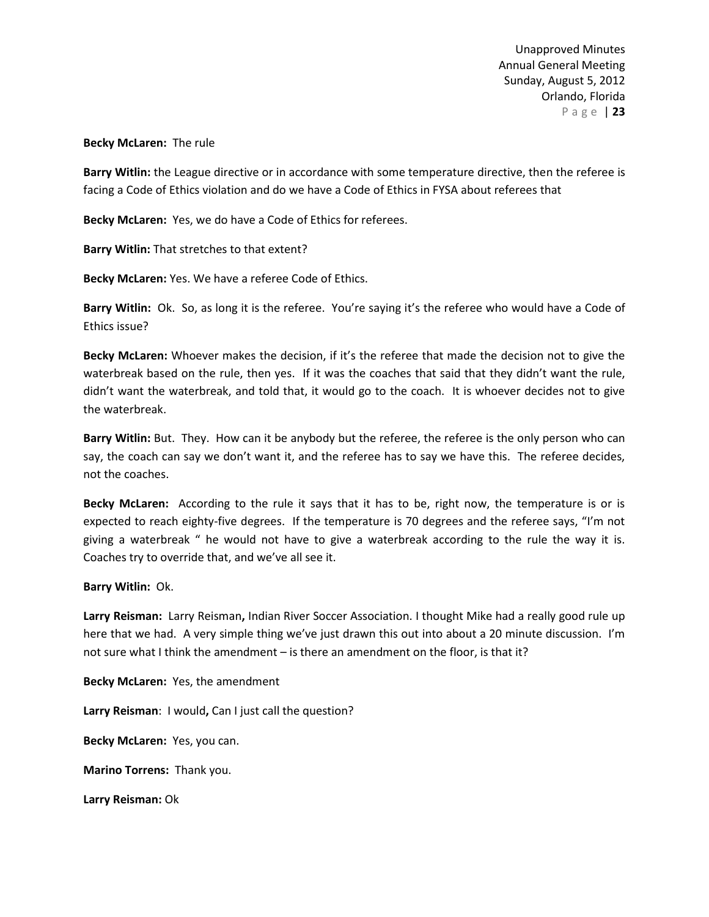## **Becky McLaren:** The rule

**Barry Witlin:** the League directive or in accordance with some temperature directive, then the referee is facing a Code of Ethics violation and do we have a Code of Ethics in FYSA about referees that

**Becky McLaren:** Yes, we do have a Code of Ethics for referees.

**Barry Witlin:** That stretches to that extent?

**Becky McLaren:** Yes. We have a referee Code of Ethics.

**Barry Witlin:** Ok. So, as long it is the referee. You're saying it's the referee who would have a Code of Ethics issue?

**Becky McLaren:** Whoever makes the decision, if it's the referee that made the decision not to give the waterbreak based on the rule, then yes. If it was the coaches that said that they didn't want the rule, didn't want the waterbreak, and told that, it would go to the coach. It is whoever decides not to give the waterbreak.

**Barry Witlin:** But. They. How can it be anybody but the referee, the referee is the only person who can say, the coach can say we don't want it, and the referee has to say we have this. The referee decides, not the coaches.

**Becky McLaren:** According to the rule it says that it has to be, right now, the temperature is or is expected to reach eighty-five degrees. If the temperature is 70 degrees and the referee says, "I'm not giving a waterbreak " he would not have to give a waterbreak according to the rule the way it is. Coaches try to override that, and we've all see it.

### **Barry Witlin:** Ok.

**Larry Reisman:** Larry Reisman**,** Indian River Soccer Association. I thought Mike had a really good rule up here that we had. A very simple thing we've just drawn this out into about a 20 minute discussion. I'm not sure what I think the amendment – is there an amendment on the floor, is that it?

**Becky McLaren:** Yes, the amendment

**Larry Reisman**: I would**,** Can I just call the question?

**Becky McLaren:** Yes, you can.

**Marino Torrens:** Thank you.

**Larry Reisman:** Ok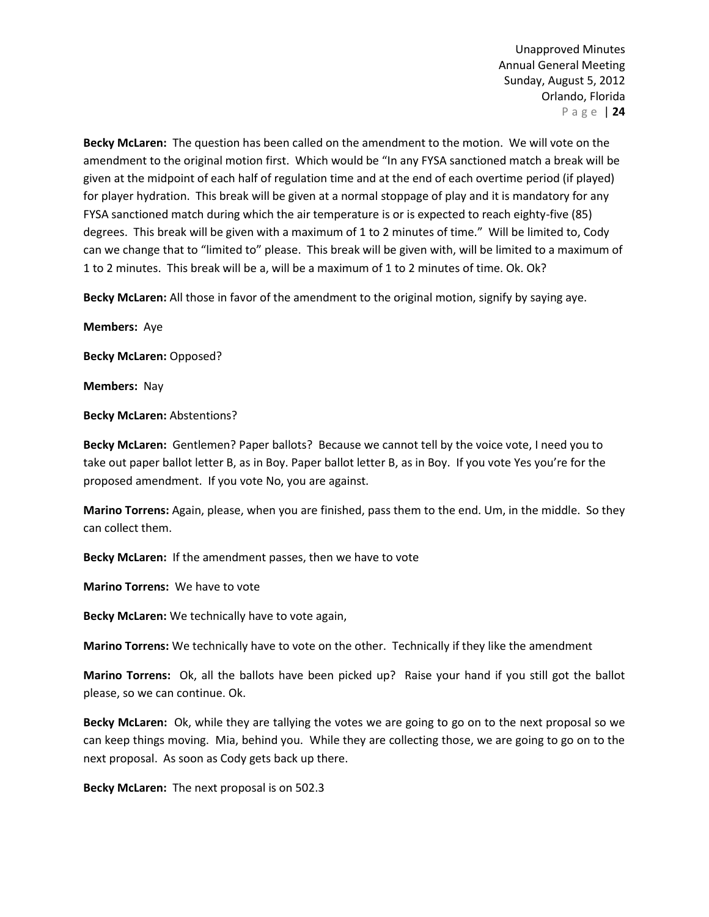**Becky McLaren:** The question has been called on the amendment to the motion. We will vote on the amendment to the original motion first. Which would be "In any FYSA sanctioned match a break will be given at the midpoint of each half of regulation time and at the end of each overtime period (if played) for player hydration. This break will be given at a normal stoppage of play and it is mandatory for any FYSA sanctioned match during which the air temperature is or is expected to reach eighty-five (85) degrees. This break will be given with a maximum of 1 to 2 minutes of time." Will be limited to, Cody can we change that to "limited to" please. This break will be given with, will be limited to a maximum of 1 to 2 minutes. This break will be a, will be a maximum of 1 to 2 minutes of time. Ok. Ok?

**Becky McLaren:** All those in favor of the amendment to the original motion, signify by saying aye.

**Members:** Aye

**Becky McLaren:** Opposed?

**Members:** Nay

**Becky McLaren:** Abstentions?

**Becky McLaren:** Gentlemen? Paper ballots? Because we cannot tell by the voice vote, I need you to take out paper ballot letter B, as in Boy. Paper ballot letter B, as in Boy. If you vote Yes you're for the proposed amendment. If you vote No, you are against.

**Marino Torrens:** Again, please, when you are finished, pass them to the end. Um, in the middle. So they can collect them.

**Becky McLaren:** If the amendment passes, then we have to vote

**Marino Torrens:** We have to vote

**Becky McLaren:** We technically have to vote again,

**Marino Torrens:** We technically have to vote on the other. Technically if they like the amendment

**Marino Torrens:** Ok, all the ballots have been picked up? Raise your hand if you still got the ballot please, so we can continue. Ok.

**Becky McLaren:** Ok, while they are tallying the votes we are going to go on to the next proposal so we can keep things moving. Mia, behind you. While they are collecting those, we are going to go on to the next proposal. As soon as Cody gets back up there.

**Becky McLaren:** The next proposal is on 502.3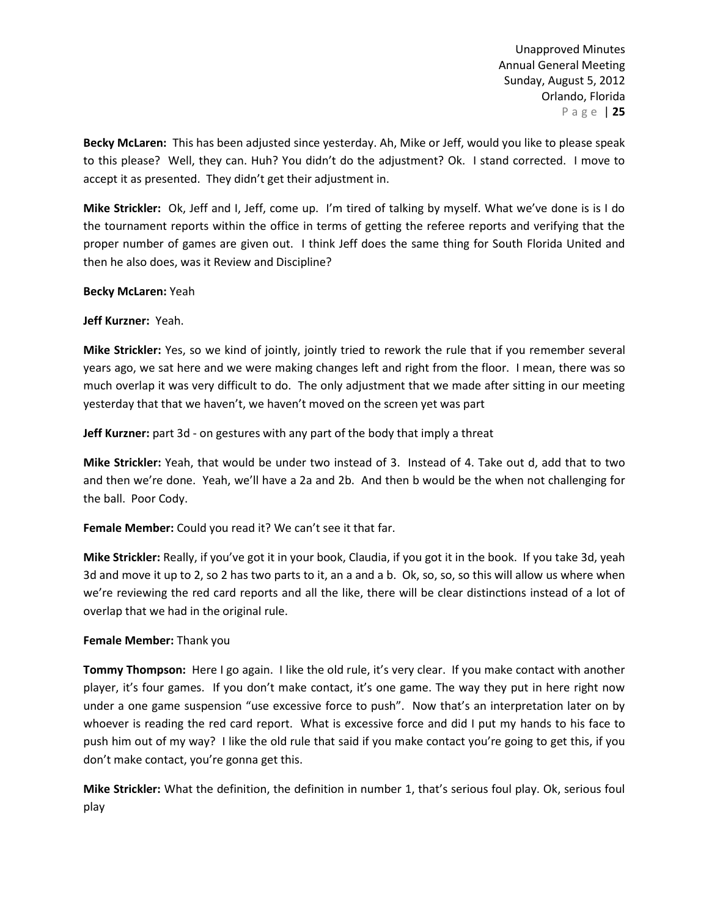**Becky McLaren:** This has been adjusted since yesterday. Ah, Mike or Jeff, would you like to please speak to this please? Well, they can. Huh? You didn't do the adjustment? Ok. I stand corrected. I move to accept it as presented. They didn't get their adjustment in.

**Mike Strickler:** Ok, Jeff and I, Jeff, come up. I'm tired of talking by myself. What we've done is is I do the tournament reports within the office in terms of getting the referee reports and verifying that the proper number of games are given out. I think Jeff does the same thing for South Florida United and then he also does, was it Review and Discipline?

## **Becky McLaren:** Yeah

## **Jeff Kurzner:** Yeah.

**Mike Strickler:** Yes, so we kind of jointly, jointly tried to rework the rule that if you remember several years ago, we sat here and we were making changes left and right from the floor. I mean, there was so much overlap it was very difficult to do. The only adjustment that we made after sitting in our meeting yesterday that that we haven't, we haven't moved on the screen yet was part

**Jeff Kurzner:** part 3d - on gestures with any part of the body that imply a threat

**Mike Strickler:** Yeah, that would be under two instead of 3. Instead of 4. Take out d, add that to two and then we're done. Yeah, we'll have a 2a and 2b. And then b would be the when not challenging for the ball. Poor Cody.

**Female Member:** Could you read it? We can't see it that far.

**Mike Strickler:** Really, if you've got it in your book, Claudia, if you got it in the book. If you take 3d, yeah 3d and move it up to 2, so 2 has two parts to it, an a and a b. Ok, so, so, so this will allow us where when we're reviewing the red card reports and all the like, there will be clear distinctions instead of a lot of overlap that we had in the original rule.

### **Female Member:** Thank you

**Tommy Thompson:** Here I go again.I like the old rule, it's very clear. If you make contact with another player, it's four games. If you don't make contact, it's one game. The way they put in here right now under a one game suspension "use excessive force to push". Now that's an interpretation later on by whoever is reading the red card report. What is excessive force and did I put my hands to his face to push him out of my way? I like the old rule that said if you make contact you're going to get this, if you don't make contact, you're gonna get this.

**Mike Strickler:** What the definition, the definition in number 1, that's serious foul play. Ok, serious foul play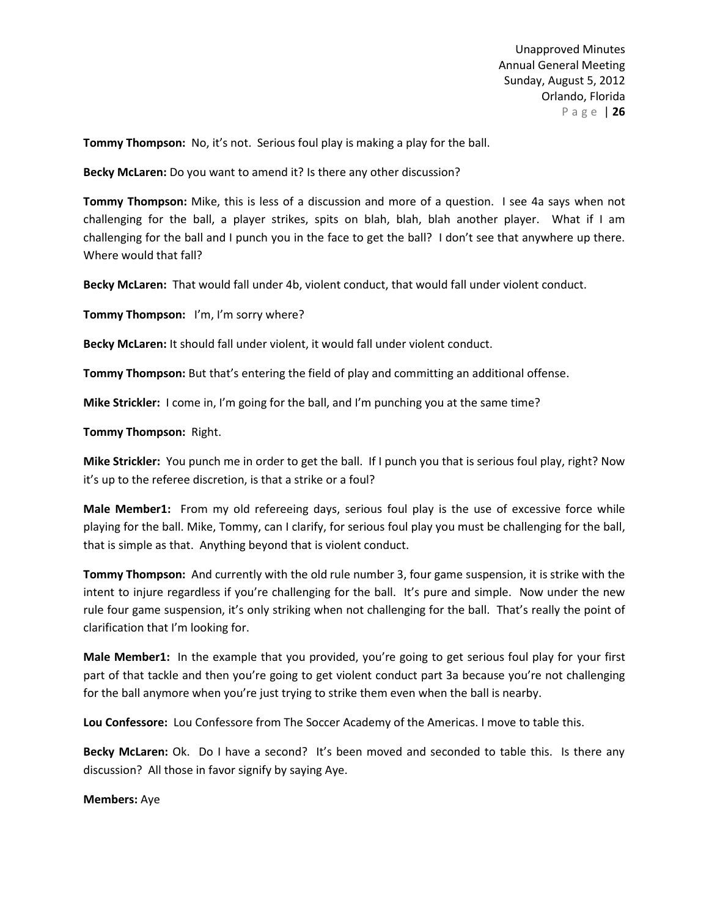**Tommy Thompson:** No, it's not. Serious foul play is making a play for the ball.

**Becky McLaren:** Do you want to amend it? Is there any other discussion?

**Tommy Thompson:** Mike, this is less of a discussion and more of a question. I see 4a says when not challenging for the ball, a player strikes, spits on blah, blah, blah another player. What if I am challenging for the ball and I punch you in the face to get the ball? I don't see that anywhere up there. Where would that fall?

**Becky McLaren:** That would fall under 4b, violent conduct, that would fall under violent conduct.

**Tommy Thompson:** I'm, I'm sorry where?

**Becky McLaren:** It should fall under violent, it would fall under violent conduct.

**Tommy Thompson:** But that's entering the field of play and committing an additional offense.

**Mike Strickler:** I come in, I'm going for the ball, and I'm punching you at the same time?

**Tommy Thompson:** Right.

**Mike Strickler:** You punch me in order to get the ball. If I punch you that is serious foul play, right? Now it's up to the referee discretion, is that a strike or a foul?

**Male Member1:** From my old refereeing days, serious foul play is the use of excessive force while playing for the ball. Mike, Tommy, can I clarify, for serious foul play you must be challenging for the ball, that is simple as that. Anything beyond that is violent conduct.

**Tommy Thompson:** And currently with the old rule number 3, four game suspension, it is strike with the intent to injure regardless if you're challenging for the ball. It's pure and simple. Now under the new rule four game suspension, it's only striking when not challenging for the ball. That's really the point of clarification that I'm looking for.

**Male Member1:** In the example that you provided, you're going to get serious foul play for your first part of that tackle and then you're going to get violent conduct part 3a because you're not challenging for the ball anymore when you're just trying to strike them even when the ball is nearby.

**Lou Confessore:** Lou Confessore from The Soccer Academy of the Americas. I move to table this.

**Becky McLaren:** Ok. Do I have a second? It's been moved and seconded to table this. Is there any discussion? All those in favor signify by saying Aye.

**Members:** Aye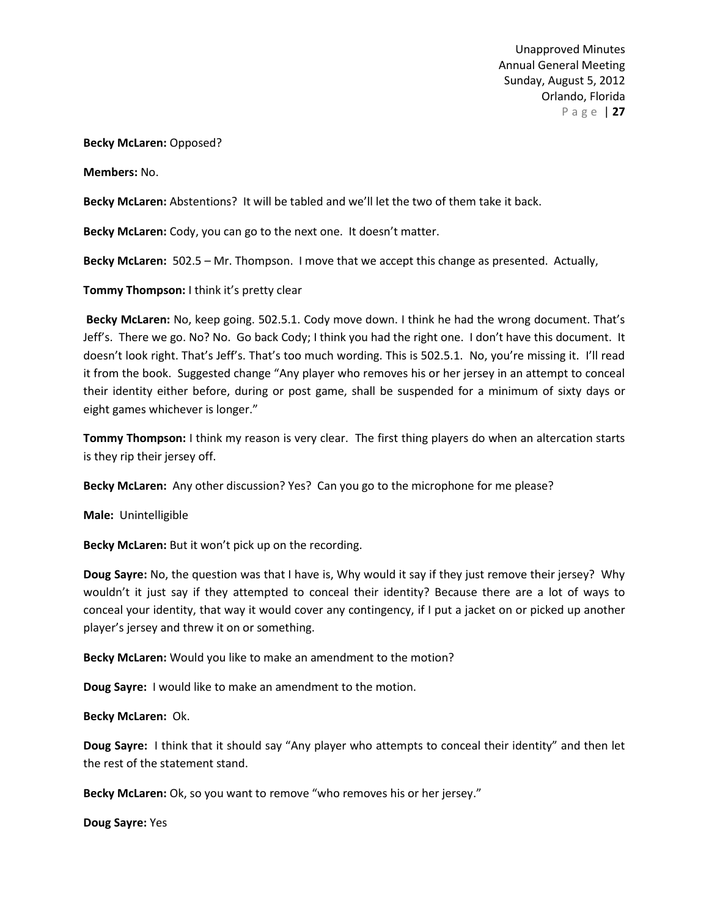### **Becky McLaren:** Opposed?

**Members:** No.

**Becky McLaren:** Abstentions? It will be tabled and we'll let the two of them take it back.

**Becky McLaren:** Cody, you can go to the next one. It doesn't matter.

**Becky McLaren:** 502.5 – Mr. Thompson. I move that we accept this change as presented. Actually,

**Tommy Thompson:** I think it's pretty clear

**Becky McLaren:** No, keep going. 502.5.1. Cody move down. I think he had the wrong document. That's Jeff's. There we go. No? No. Go back Cody; I think you had the right one. I don't have this document. It doesn't look right. That's Jeff's. That's too much wording. This is 502.5.1. No, you're missing it. I'll read it from the book. Suggested change "Any player who removes his or her jersey in an attempt to conceal their identity either before, during or post game, shall be suspended for a minimum of sixty days or eight games whichever is longer."

**Tommy Thompson:** I think my reason is very clear. The first thing players do when an altercation starts is they rip their jersey off.

**Becky McLaren:** Any other discussion? Yes? Can you go to the microphone for me please?

**Male:** Unintelligible

**Becky McLaren:** But it won't pick up on the recording.

**Doug Sayre:** No, the question was that I have is, Why would it say if they just remove their jersey? Why wouldn't it just say if they attempted to conceal their identity? Because there are a lot of ways to conceal your identity, that way it would cover any contingency, if I put a jacket on or picked up another player's jersey and threw it on or something.

**Becky McLaren:** Would you like to make an amendment to the motion?

**Doug Sayre:** I would like to make an amendment to the motion.

**Becky McLaren:** Ok.

**Doug Sayre:** I think that it should say "Any player who attempts to conceal their identity" and then let the rest of the statement stand.

**Becky McLaren:** Ok, so you want to remove "who removes his or her jersey."

**Doug Sayre:** Yes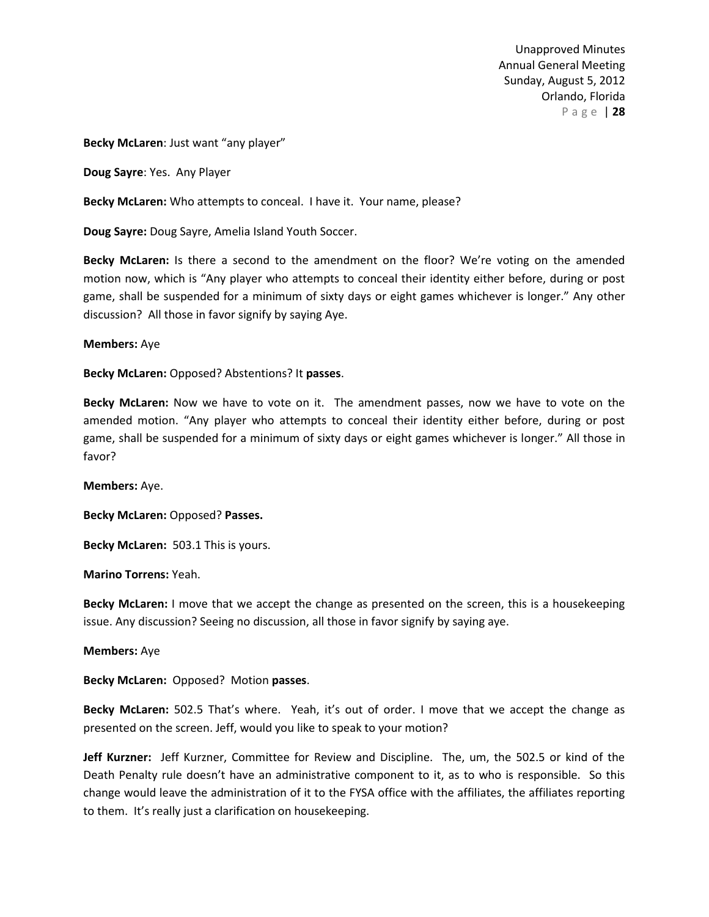**Becky McLaren**: Just want "any player"

**Doug Sayre**: Yes. Any Player

**Becky McLaren:** Who attempts to conceal. I have it. Your name, please?

**Doug Sayre:** Doug Sayre, Amelia Island Youth Soccer.

**Becky McLaren:** Is there a second to the amendment on the floor? We're voting on the amended motion now, which is "Any player who attempts to conceal their identity either before, during or post game, shall be suspended for a minimum of sixty days or eight games whichever is longer." Any other discussion? All those in favor signify by saying Aye.

### **Members:** Aye

**Becky McLaren:** Opposed? Abstentions? It **passes**.

**Becky McLaren:** Now we have to vote on it. The amendment passes, now we have to vote on the amended motion. "Any player who attempts to conceal their identity either before, during or post game, shall be suspended for a minimum of sixty days or eight games whichever is longer." All those in favor?

**Members:** Aye.

**Becky McLaren:** Opposed? **Passes.**

**Becky McLaren:** 503.1 This is yours.

**Marino Torrens:** Yeah.

**Becky McLaren:** I move that we accept the change as presented on the screen, this is a housekeeping issue. Any discussion? Seeing no discussion, all those in favor signify by saying aye.

**Members:** Aye

**Becky McLaren:** Opposed? Motion **passes**.

**Becky McLaren:** 502.5 That's where. Yeah, it's out of order. I move that we accept the change as presented on the screen. Jeff, would you like to speak to your motion?

**Jeff Kurzner:** Jeff Kurzner, Committee for Review and Discipline. The, um, the 502.5 or kind of the Death Penalty rule doesn't have an administrative component to it, as to who is responsible. So this change would leave the administration of it to the FYSA office with the affiliates, the affiliates reporting to them. It's really just a clarification on housekeeping.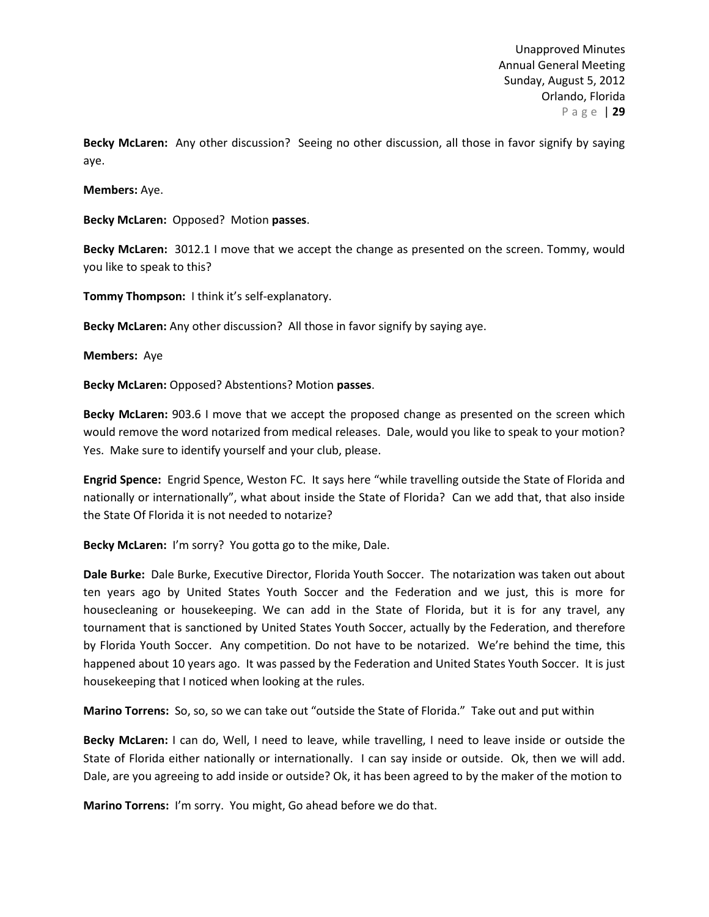**Becky McLaren:** Any other discussion? Seeing no other discussion, all those in favor signify by saying aye.

**Members:** Aye.

**Becky McLaren:** Opposed? Motion **passes**.

**Becky McLaren:** 3012.1 I move that we accept the change as presented on the screen. Tommy, would you like to speak to this?

**Tommy Thompson:** I think it's self-explanatory.

**Becky McLaren:** Any other discussion? All those in favor signify by saying aye.

**Members:** Aye

**Becky McLaren:** Opposed? Abstentions? Motion **passes**.

**Becky McLaren:** 903.6 I move that we accept the proposed change as presented on the screen which would remove the word notarized from medical releases. Dale, would you like to speak to your motion? Yes. Make sure to identify yourself and your club, please.

**Engrid Spence:** Engrid Spence, Weston FC. It says here "while travelling outside the State of Florida and nationally or internationally", what about inside the State of Florida? Can we add that, that also inside the State Of Florida it is not needed to notarize?

**Becky McLaren:** I'm sorry? You gotta go to the mike, Dale.

**Dale Burke:** Dale Burke, Executive Director, Florida Youth Soccer. The notarization was taken out about ten years ago by United States Youth Soccer and the Federation and we just, this is more for housecleaning or housekeeping. We can add in the State of Florida, but it is for any travel, any tournament that is sanctioned by United States Youth Soccer, actually by the Federation, and therefore by Florida Youth Soccer. Any competition. Do not have to be notarized. We're behind the time, this happened about 10 years ago. It was passed by the Federation and United States Youth Soccer. It is just housekeeping that I noticed when looking at the rules.

**Marino Torrens:** So, so, so we can take out "outside the State of Florida." Take out and put within

**Becky McLaren:** I can do, Well, I need to leave, while travelling, I need to leave inside or outside the State of Florida either nationally or internationally. I can say inside or outside. Ok, then we will add. Dale, are you agreeing to add inside or outside? Ok, it has been agreed to by the maker of the motion to

**Marino Torrens:** I'm sorry. You might, Go ahead before we do that.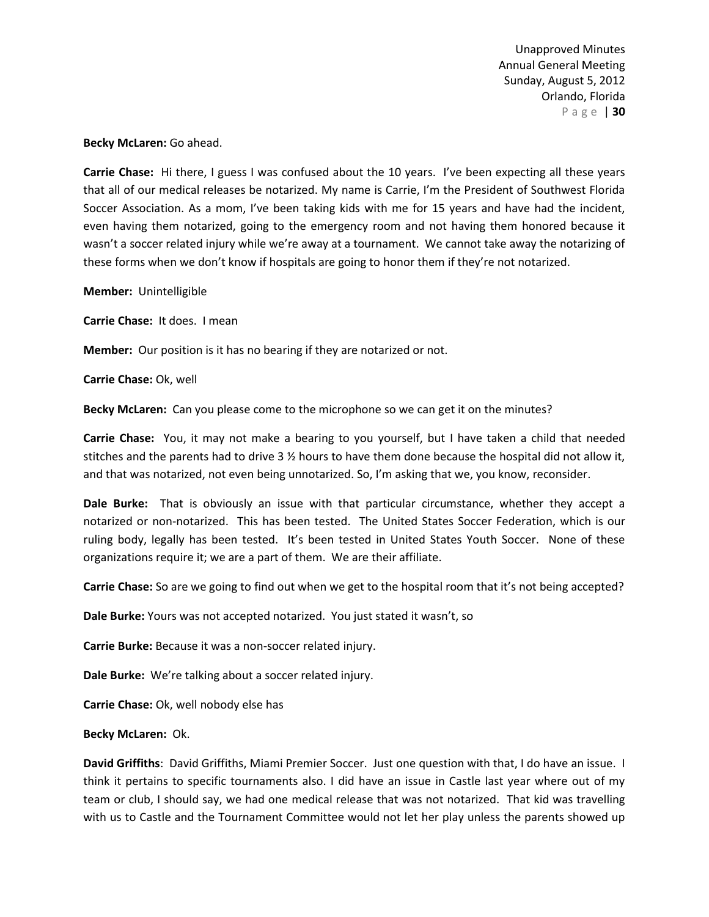**Becky McLaren:** Go ahead.

**Carrie Chase:** Hi there, I guess I was confused about the 10 years. I've been expecting all these years that all of our medical releases be notarized. My name is Carrie, I'm the President of Southwest Florida Soccer Association. As a mom, I've been taking kids with me for 15 years and have had the incident, even having them notarized, going to the emergency room and not having them honored because it wasn't a soccer related injury while we're away at a tournament. We cannot take away the notarizing of these forms when we don't know if hospitals are going to honor them if they're not notarized.

**Member:** Unintelligible

**Carrie Chase:** It does. I mean

**Member:** Our position is it has no bearing if they are notarized or not.

**Carrie Chase:** Ok, well

**Becky McLaren:** Can you please come to the microphone so we can get it on the minutes?

**Carrie Chase:** You, it may not make a bearing to you yourself, but I have taken a child that needed stitches and the parents had to drive 3 ½ hours to have them done because the hospital did not allow it, and that was notarized, not even being unnotarized. So, I'm asking that we, you know, reconsider.

**Dale Burke:** That is obviously an issue with that particular circumstance, whether they accept a notarized or non-notarized. This has been tested. The United States Soccer Federation, which is our ruling body, legally has been tested. It's been tested in United States Youth Soccer. None of these organizations require it; we are a part of them. We are their affiliate.

**Carrie Chase:** So are we going to find out when we get to the hospital room that it's not being accepted?

**Dale Burke:** Yours was not accepted notarized. You just stated it wasn't, so

**Carrie Burke:** Because it was a non-soccer related injury.

**Dale Burke:** We're talking about a soccer related injury.

**Carrie Chase:** Ok, well nobody else has

**Becky McLaren:** Ok.

**David Griffiths**: David Griffiths, Miami Premier Soccer. Just one question with that, I do have an issue. I think it pertains to specific tournaments also. I did have an issue in Castle last year where out of my team or club, I should say, we had one medical release that was not notarized. That kid was travelling with us to Castle and the Tournament Committee would not let her play unless the parents showed up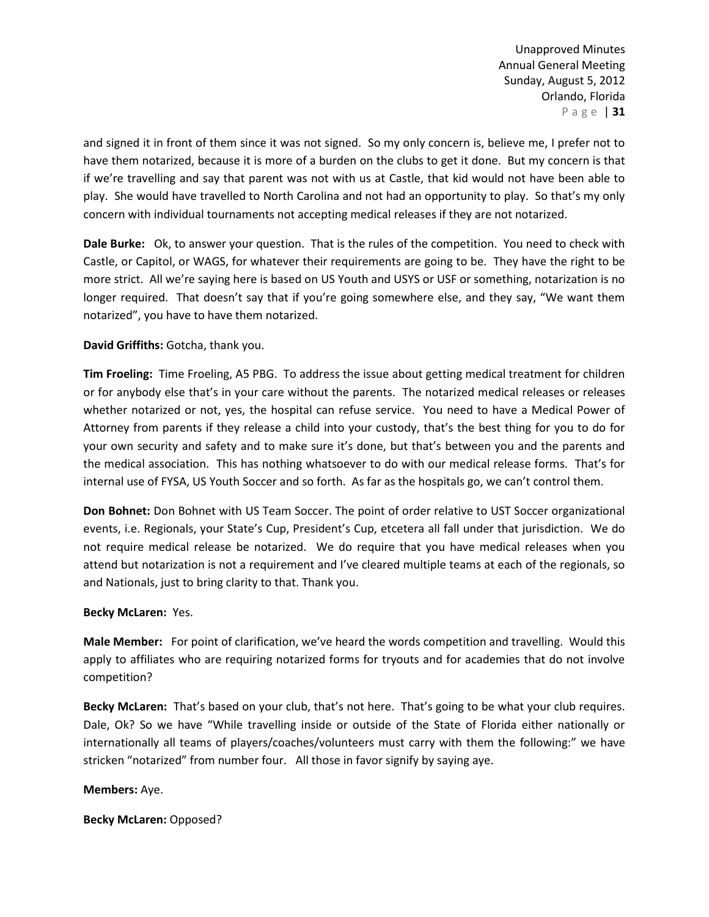and signed it in front of them since it was not signed. So my only concern is, believe me, I prefer not to have them notarized, because it is more of a burden on the clubs to get it done. But my concern is that if we're travelling and say that parent was not with us at Castle, that kid would not have been able to play. She would have travelled to North Carolina and not had an opportunity to play. So that's my only concern with individual tournaments not accepting medical releases if they are not notarized.

**Dale Burke:** Ok, to answer your question. That is the rules of the competition. You need to check with Castle, or Capitol, or WAGS, for whatever their requirements are going to be. They have the right to be more strict. All we're saying here is based on US Youth and USYS or USF or something, notarization is no longer required. That doesn't say that if you're going somewhere else, and they say, "We want them notarized", you have to have them notarized.

# **David Griffiths:** Gotcha, thank you.

**Tim Froeling:** Time Froeling, A5 PBG. To address the issue about getting medical treatment for children or for anybody else that's in your care without the parents. The notarized medical releases or releases whether notarized or not, yes, the hospital can refuse service. You need to have a Medical Power of Attorney from parents if they release a child into your custody, that's the best thing for you to do for your own security and safety and to make sure it's done, but that's between you and the parents and the medical association. This has nothing whatsoever to do with our medical release forms. That's for internal use of FYSA, US Youth Soccer and so forth. As far as the hospitals go, we can't control them.

**Don Bohnet:** Don Bohnet with US Team Soccer. The point of order relative to UST Soccer organizational events, i.e. Regionals, your State's Cup, President's Cup, etcetera all fall under that jurisdiction. We do not require medical release be notarized. We do require that you have medical releases when you attend but notarization is not a requirement and I've cleared multiple teams at each of the regionals, so and Nationals, just to bring clarity to that. Thank you.

# **Becky McLaren:** Yes.

**Male Member:** For point of clarification, we've heard the words competition and travelling. Would this apply to affiliates who are requiring notarized forms for tryouts and for academies that do not involve competition?

**Becky McLaren:** That's based on your club, that's not here. That's going to be what your club requires. Dale, Ok? So we have "While travelling inside or outside of the State of Florida either nationally or internationally all teams of players/coaches/volunteers must carry with them the following:" we have stricken "notarized" from number four. All those in favor signify by saying aye.

# **Members:** Aye.

**Becky McLaren:** Opposed?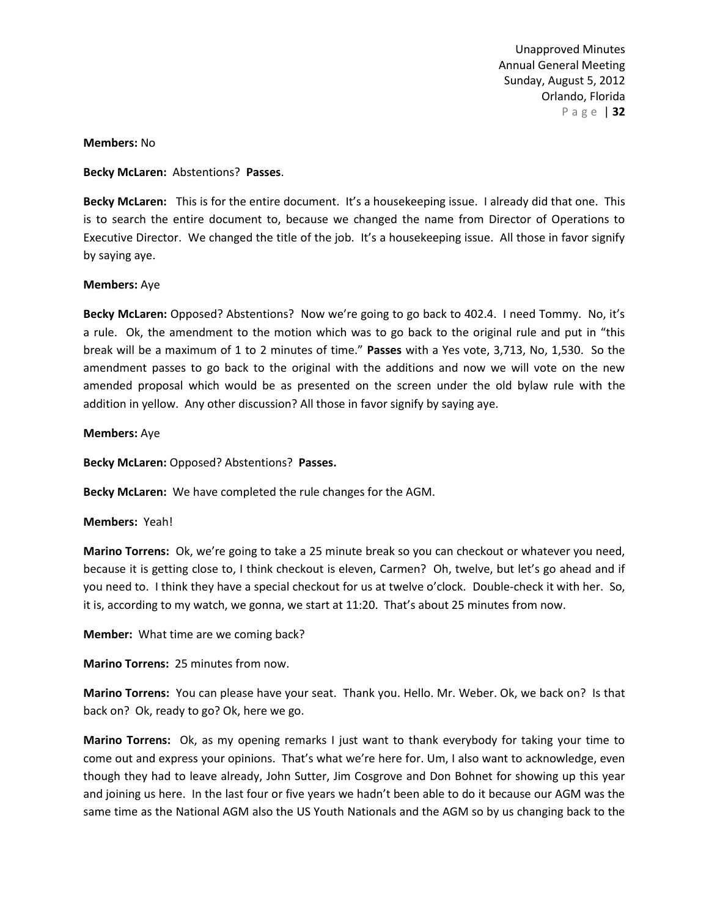### **Members:** No

**Becky McLaren:** Abstentions? **Passes**.

**Becky McLaren:** This is for the entire document. It's a housekeeping issue. I already did that one. This is to search the entire document to, because we changed the name from Director of Operations to Executive Director. We changed the title of the job. It's a housekeeping issue. All those in favor signify by saying aye.

### **Members:** Aye

**Becky McLaren:** Opposed? Abstentions? Now we're going to go back to 402.4. I need Tommy. No, it's a rule. Ok, the amendment to the motion which was to go back to the original rule and put in "this break will be a maximum of 1 to 2 minutes of time." **Passes** with a Yes vote, 3,713, No, 1,530. So the amendment passes to go back to the original with the additions and now we will vote on the new amended proposal which would be as presented on the screen under the old bylaw rule with the addition in yellow. Any other discussion? All those in favor signify by saying aye.

#### **Members:** Aye

**Becky McLaren:** Opposed? Abstentions? **Passes.**

**Becky McLaren:** We have completed the rule changes for the AGM.

### **Members:** Yeah!

**Marino Torrens:** Ok, we're going to take a 25 minute break so you can checkout or whatever you need, because it is getting close to, I think checkout is eleven, Carmen? Oh, twelve, but let's go ahead and if you need to. I think they have a special checkout for us at twelve o'clock. Double-check it with her. So, it is, according to my watch, we gonna, we start at 11:20. That's about 25 minutes from now.

**Member:** What time are we coming back?

**Marino Torrens:** 25 minutes from now.

**Marino Torrens:** You can please have your seat. Thank you. Hello. Mr. Weber. Ok, we back on? Is that back on? Ok, ready to go? Ok, here we go.

**Marino Torrens:** Ok, as my opening remarks I just want to thank everybody for taking your time to come out and express your opinions. That's what we're here for. Um, I also want to acknowledge, even though they had to leave already, John Sutter, Jim Cosgrove and Don Bohnet for showing up this year and joining us here. In the last four or five years we hadn't been able to do it because our AGM was the same time as the National AGM also the US Youth Nationals and the AGM so by us changing back to the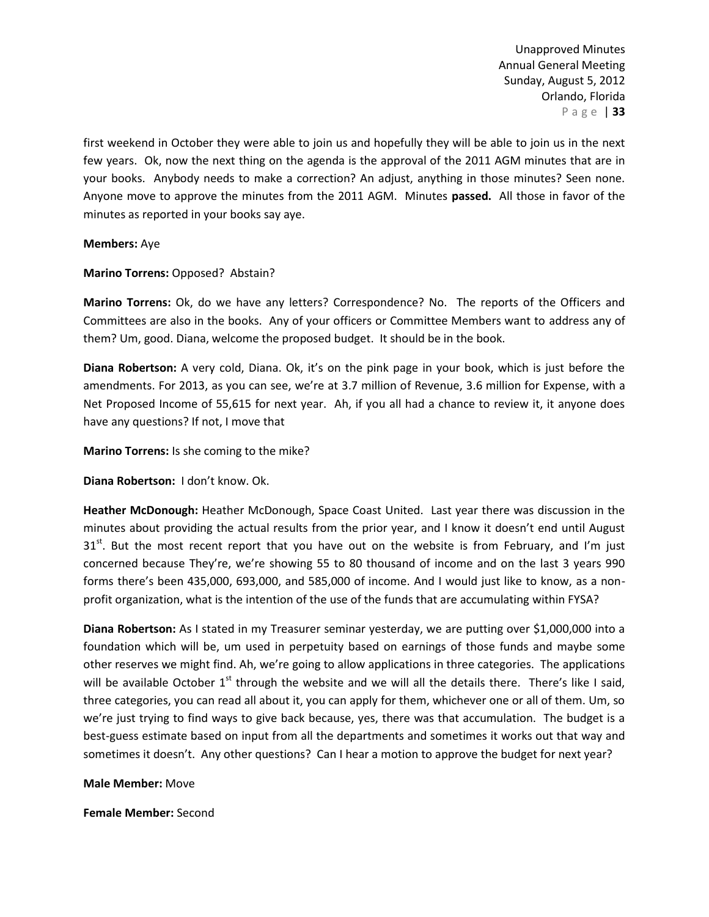first weekend in October they were able to join us and hopefully they will be able to join us in the next few years. Ok, now the next thing on the agenda is the approval of the 2011 AGM minutes that are in your books. Anybody needs to make a correction? An adjust, anything in those minutes? Seen none. Anyone move to approve the minutes from the 2011 AGM. Minutes **passed.** All those in favor of the minutes as reported in your books say aye.

### **Members:** Aye

**Marino Torrens:** Opposed? Abstain?

**Marino Torrens:** Ok, do we have any letters? Correspondence? No. The reports of the Officers and Committees are also in the books. Any of your officers or Committee Members want to address any of them? Um, good. Diana, welcome the proposed budget. It should be in the book.

**Diana Robertson:** A very cold, Diana. Ok, it's on the pink page in your book, which is just before the amendments. For 2013, as you can see, we're at 3.7 million of Revenue, 3.6 million for Expense, with a Net Proposed Income of 55,615 for next year. Ah, if you all had a chance to review it, it anyone does have any questions? If not, I move that

**Marino Torrens:** Is she coming to the mike?

**Diana Robertson:** I don't know. Ok.

**Heather McDonough:** Heather McDonough, Space Coast United. Last year there was discussion in the minutes about providing the actual results from the prior year, and I know it doesn't end until August 31<sup>st</sup>. But the most recent report that you have out on the website is from February, and I'm just concerned because They're, we're showing 55 to 80 thousand of income and on the last 3 years 990 forms there's been 435,000, 693,000, and 585,000 of income. And I would just like to know, as a nonprofit organization, what is the intention of the use of the funds that are accumulating within FYSA?

**Diana Robertson:** As I stated in my Treasurer seminar yesterday, we are putting over \$1,000,000 into a foundation which will be, um used in perpetuity based on earnings of those funds and maybe some other reserves we might find. Ah, we're going to allow applications in three categories. The applications will be available October  $1<sup>st</sup>$  through the website and we will all the details there. There's like I said, three categories, you can read all about it, you can apply for them, whichever one or all of them. Um, so we're just trying to find ways to give back because, yes, there was that accumulation. The budget is a best-guess estimate based on input from all the departments and sometimes it works out that way and sometimes it doesn't. Any other questions? Can I hear a motion to approve the budget for next year?

### **Male Member:** Move

**Female Member:** Second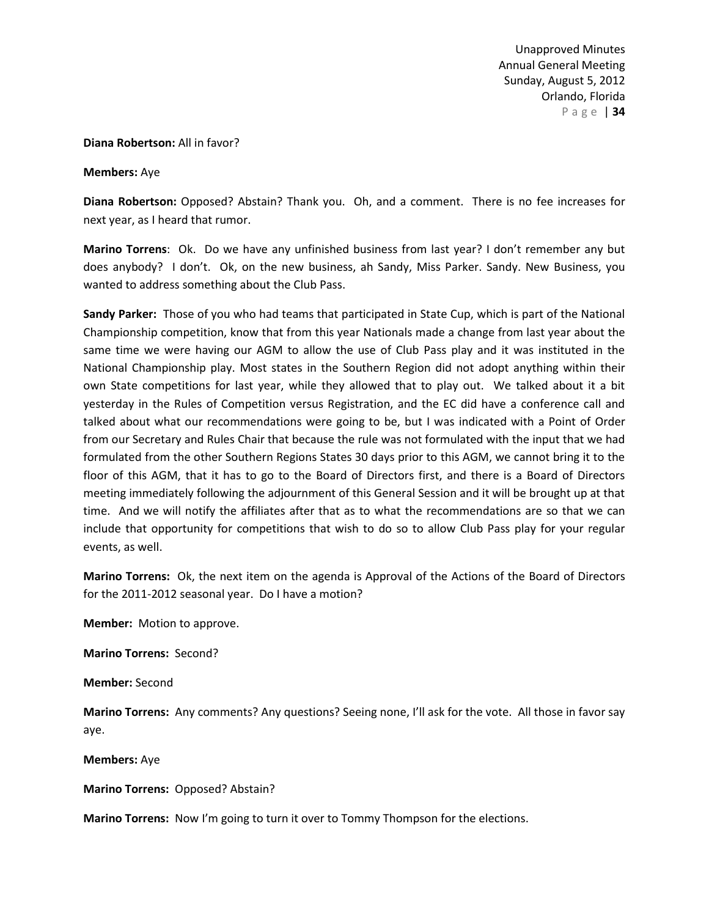### **Diana Robertson:** All in favor?

**Members:** Aye

**Diana Robertson:** Opposed? Abstain? Thank you. Oh, and a comment. There is no fee increases for next year, as I heard that rumor.

**Marino Torrens**: Ok. Do we have any unfinished business from last year? I don't remember any but does anybody? I don't. Ok, on the new business, ah Sandy, Miss Parker. Sandy. New Business, you wanted to address something about the Club Pass.

**Sandy Parker:** Those of you who had teams that participated in State Cup, which is part of the National Championship competition, know that from this year Nationals made a change from last year about the same time we were having our AGM to allow the use of Club Pass play and it was instituted in the National Championship play. Most states in the Southern Region did not adopt anything within their own State competitions for last year, while they allowed that to play out. We talked about it a bit yesterday in the Rules of Competition versus Registration, and the EC did have a conference call and talked about what our recommendations were going to be, but I was indicated with a Point of Order from our Secretary and Rules Chair that because the rule was not formulated with the input that we had formulated from the other Southern Regions States 30 days prior to this AGM, we cannot bring it to the floor of this AGM, that it has to go to the Board of Directors first, and there is a Board of Directors meeting immediately following the adjournment of this General Session and it will be brought up at that time. And we will notify the affiliates after that as to what the recommendations are so that we can include that opportunity for competitions that wish to do so to allow Club Pass play for your regular events, as well.

**Marino Torrens:** Ok, the next item on the agenda is Approval of the Actions of the Board of Directors for the 2011-2012 seasonal year. Do I have a motion?

**Member:** Motion to approve.

**Marino Torrens:** Second?

**Member:** Second

**Marino Torrens:** Any comments? Any questions? Seeing none, I'll ask for the vote. All those in favor say aye.

**Members:** Aye

**Marino Torrens:** Opposed? Abstain?

**Marino Torrens:** Now I'm going to turn it over to Tommy Thompson for the elections.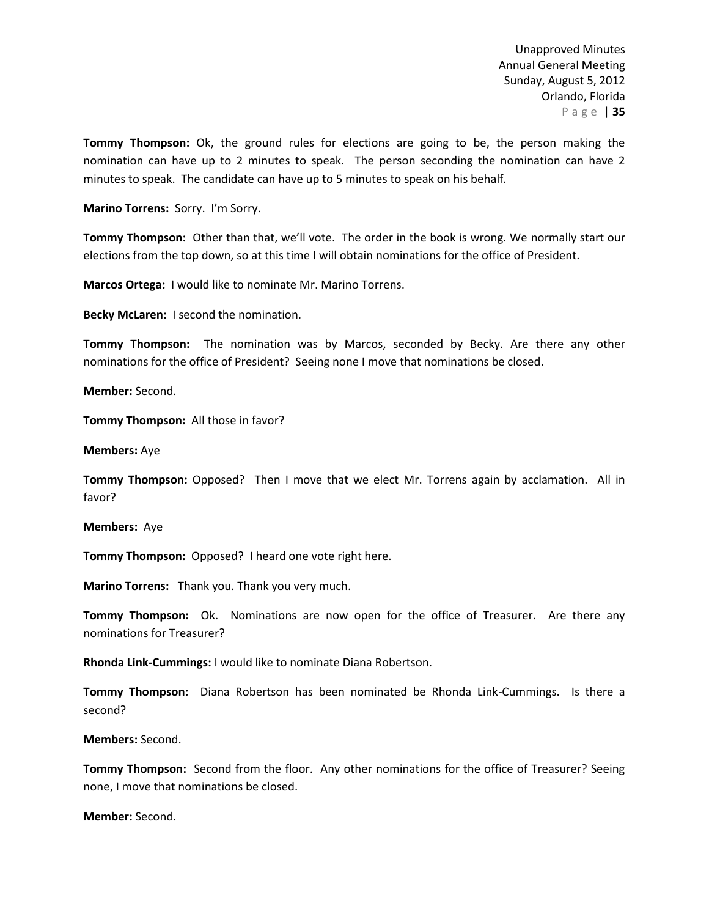**Tommy Thompson:** Ok, the ground rules for elections are going to be, the person making the nomination can have up to 2 minutes to speak. The person seconding the nomination can have 2 minutes to speak. The candidate can have up to 5 minutes to speak on his behalf.

**Marino Torrens:** Sorry. I'm Sorry.

**Tommy Thompson:** Other than that, we'll vote. The order in the book is wrong. We normally start our elections from the top down, so at this time I will obtain nominations for the office of President.

**Marcos Ortega:** I would like to nominate Mr. Marino Torrens.

**Becky McLaren:** I second the nomination.

**Tommy Thompson:** The nomination was by Marcos, seconded by Becky. Are there any other nominations for the office of President? Seeing none I move that nominations be closed.

**Member:** Second.

**Tommy Thompson:** All those in favor?

**Members:** Aye

**Tommy Thompson:** Opposed? Then I move that we elect Mr. Torrens again by acclamation. All in favor?

**Members:** Aye

**Tommy Thompson:** Opposed? I heard one vote right here.

**Marino Torrens:** Thank you. Thank you very much.

**Tommy Thompson:** Ok. Nominations are now open for the office of Treasurer. Are there any nominations for Treasurer?

**Rhonda Link-Cummings:** I would like to nominate Diana Robertson.

**Tommy Thompson:** Diana Robertson has been nominated be Rhonda Link-Cummings. Is there a second?

**Members:** Second.

**Tommy Thompson:** Second from the floor. Any other nominations for the office of Treasurer? Seeing none, I move that nominations be closed.

**Member:** Second.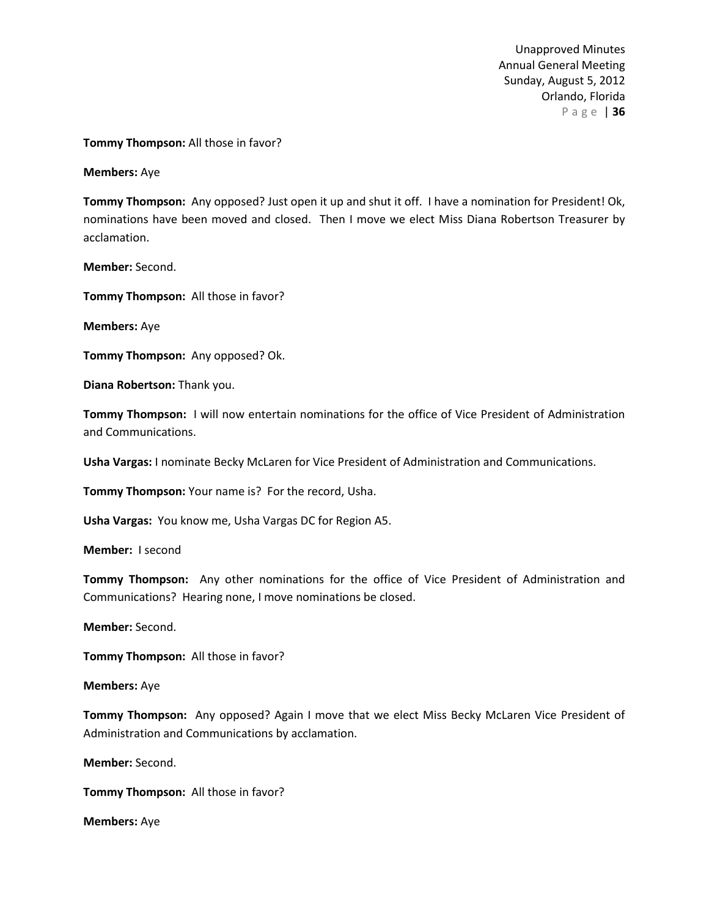### **Tommy Thompson:** All those in favor?

**Members:** Aye

**Tommy Thompson:** Any opposed? Just open it up and shut it off. I have a nomination for President! Ok, nominations have been moved and closed. Then I move we elect Miss Diana Robertson Treasurer by acclamation.

**Member:** Second.

**Tommy Thompson:** All those in favor?

**Members:** Aye

**Tommy Thompson:** Any opposed? Ok.

**Diana Robertson:** Thank you.

**Tommy Thompson:** I will now entertain nominations for the office of Vice President of Administration and Communications.

**Usha Vargas:** I nominate Becky McLaren for Vice President of Administration and Communications.

**Tommy Thompson:** Your name is? For the record, Usha.

**Usha Vargas:** You know me, Usha Vargas DC for Region A5.

**Member:** I second

**Tommy Thompson:** Any other nominations for the office of Vice President of Administration and Communications? Hearing none, I move nominations be closed.

**Member:** Second.

**Tommy Thompson:** All those in favor?

#### **Members:** Aye

**Tommy Thompson:** Any opposed? Again I move that we elect Miss Becky McLaren Vice President of Administration and Communications by acclamation.

**Member:** Second.

**Tommy Thompson:** All those in favor?

**Members:** Aye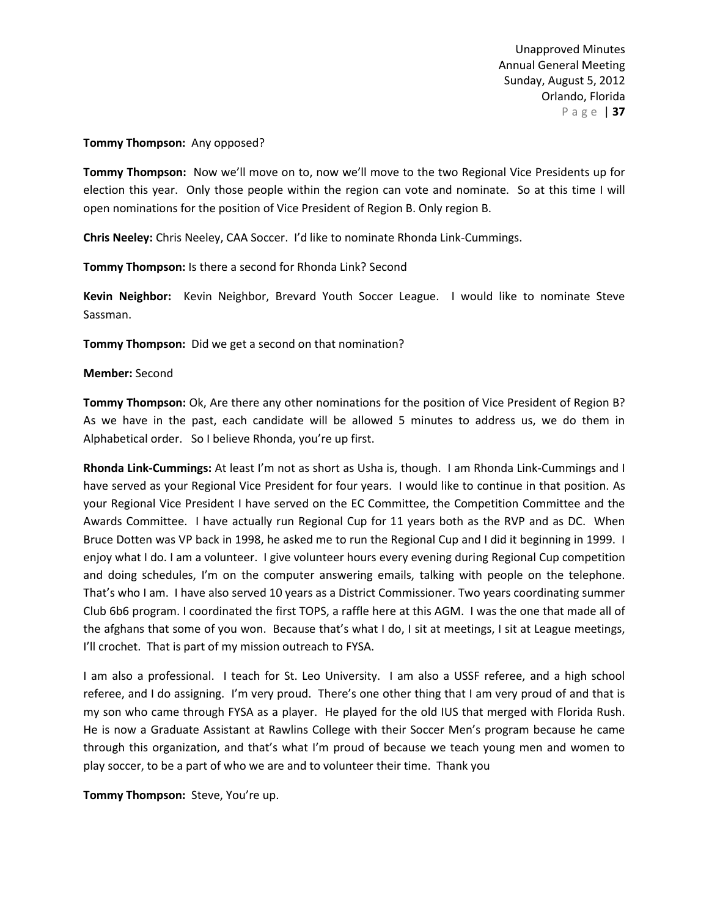### **Tommy Thompson:** Any opposed?

**Tommy Thompson:** Now we'll move on to, now we'll move to the two Regional Vice Presidents up for election this year. Only those people within the region can vote and nominate. So at this time I will open nominations for the position of Vice President of Region B. Only region B.

**Chris Neeley:** Chris Neeley, CAA Soccer. I'd like to nominate Rhonda Link-Cummings.

**Tommy Thompson:** Is there a second for Rhonda Link? Second

**Kevin Neighbor:** Kevin Neighbor, Brevard Youth Soccer League. I would like to nominate Steve Sassman.

**Tommy Thompson:** Did we get a second on that nomination?

### **Member:** Second

**Tommy Thompson:** Ok, Are there any other nominations for the position of Vice President of Region B? As we have in the past, each candidate will be allowed 5 minutes to address us, we do them in Alphabetical order. So I believe Rhonda, you're up first.

**Rhonda Link-Cummings:** At least I'm not as short as Usha is, though. I am Rhonda Link-Cummings and I have served as your Regional Vice President for four years. I would like to continue in that position. As your Regional Vice President I have served on the EC Committee, the Competition Committee and the Awards Committee. I have actually run Regional Cup for 11 years both as the RVP and as DC. When Bruce Dotten was VP back in 1998, he asked me to run the Regional Cup and I did it beginning in 1999. I enjoy what I do. I am a volunteer. I give volunteer hours every evening during Regional Cup competition and doing schedules, I'm on the computer answering emails, talking with people on the telephone. That's who I am. I have also served 10 years as a District Commissioner. Two years coordinating summer Club 6b6 program. I coordinated the first TOPS, a raffle here at this AGM. I was the one that made all of the afghans that some of you won. Because that's what I do, I sit at meetings, I sit at League meetings, I'll crochet. That is part of my mission outreach to FYSA.

I am also a professional. I teach for St. Leo University. I am also a USSF referee, and a high school referee, and I do assigning. I'm very proud. There's one other thing that I am very proud of and that is my son who came through FYSA as a player. He played for the old IUS that merged with Florida Rush. He is now a Graduate Assistant at Rawlins College with their Soccer Men's program because he came through this organization, and that's what I'm proud of because we teach young men and women to play soccer, to be a part of who we are and to volunteer their time. Thank you

**Tommy Thompson:** Steve, You're up.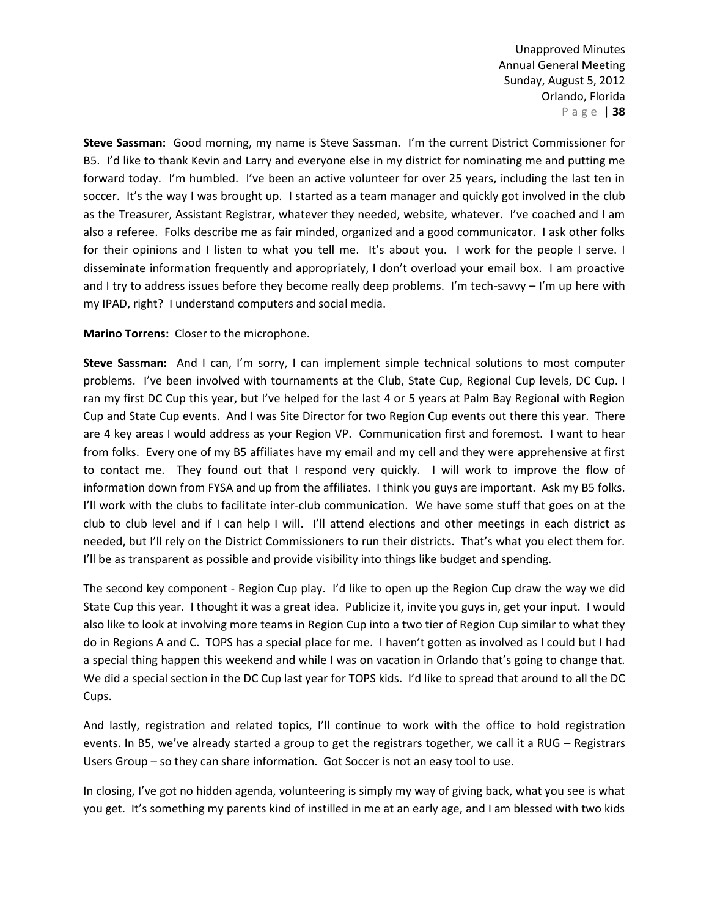**Steve Sassman:** Good morning, my name is Steve Sassman. I'm the current District Commissioner for B5. I'd like to thank Kevin and Larry and everyone else in my district for nominating me and putting me forward today. I'm humbled. I've been an active volunteer for over 25 years, including the last ten in soccer. It's the way I was brought up. I started as a team manager and quickly got involved in the club as the Treasurer, Assistant Registrar, whatever they needed, website, whatever. I've coached and I am also a referee. Folks describe me as fair minded, organized and a good communicator. I ask other folks for their opinions and I listen to what you tell me. It's about you. I work for the people I serve. I disseminate information frequently and appropriately, I don't overload your email box. I am proactive and I try to address issues before they become really deep problems. I'm tech-savvy - I'm up here with my IPAD, right? I understand computers and social media.

**Marino Torrens:** Closer to the microphone.

**Steve Sassman:** And I can, I'm sorry, I can implement simple technical solutions to most computer problems. I've been involved with tournaments at the Club, State Cup, Regional Cup levels, DC Cup. I ran my first DC Cup this year, but I've helped for the last 4 or 5 years at Palm Bay Regional with Region Cup and State Cup events. And I was Site Director for two Region Cup events out there this year. There are 4 key areas I would address as your Region VP. Communication first and foremost. I want to hear from folks. Every one of my B5 affiliates have my email and my cell and they were apprehensive at first to contact me. They found out that I respond very quickly. I will work to improve the flow of information down from FYSA and up from the affiliates. I think you guys are important. Ask my B5 folks. I'll work with the clubs to facilitate inter-club communication. We have some stuff that goes on at the club to club level and if I can help I will. I'll attend elections and other meetings in each district as needed, but I'll rely on the District Commissioners to run their districts. That's what you elect them for. I'll be as transparent as possible and provide visibility into things like budget and spending.

The second key component - Region Cup play. I'd like to open up the Region Cup draw the way we did State Cup this year. I thought it was a great idea. Publicize it, invite you guys in, get your input. I would also like to look at involving more teams in Region Cup into a two tier of Region Cup similar to what they do in Regions A and C. TOPS has a special place for me. I haven't gotten as involved as I could but I had a special thing happen this weekend and while I was on vacation in Orlando that's going to change that. We did a special section in the DC Cup last year for TOPS kids. I'd like to spread that around to all the DC Cups.

And lastly, registration and related topics, I'll continue to work with the office to hold registration events. In B5, we've already started a group to get the registrars together, we call it a RUG – Registrars Users Group – so they can share information. Got Soccer is not an easy tool to use.

In closing, I've got no hidden agenda, volunteering is simply my way of giving back, what you see is what you get. It's something my parents kind of instilled in me at an early age, and I am blessed with two kids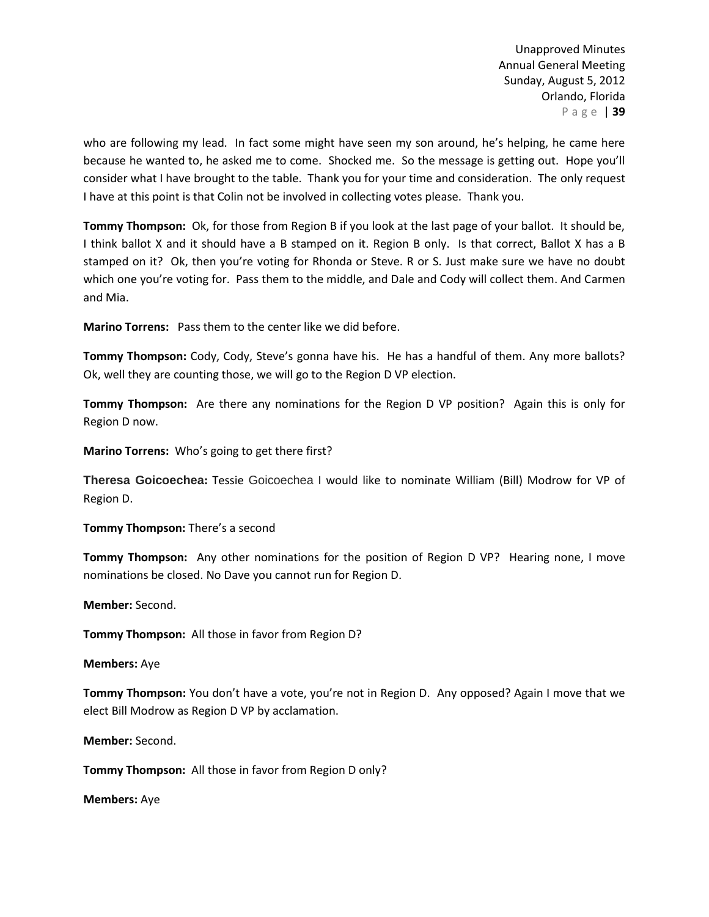who are following my lead. In fact some might have seen my son around, he's helping, he came here because he wanted to, he asked me to come. Shocked me. So the message is getting out. Hope you'll consider what I have brought to the table. Thank you for your time and consideration. The only request I have at this point is that Colin not be involved in collecting votes please. Thank you.

**Tommy Thompson:** Ok, for those from Region B if you look at the last page of your ballot. It should be, I think ballot X and it should have a B stamped on it. Region B only. Is that correct, Ballot X has a B stamped on it? Ok, then you're voting for Rhonda or Steve. R or S. Just make sure we have no doubt which one you're voting for. Pass them to the middle, and Dale and Cody will collect them. And Carmen and Mia.

**Marino Torrens:** Pass them to the center like we did before.

**Tommy Thompson:** Cody, Cody, Steve's gonna have his. He has a handful of them. Any more ballots? Ok, well they are counting those, we will go to the Region D VP election.

**Tommy Thompson:** Are there any nominations for the Region D VP position? Again this is only for Region D now.

**Marino Torrens:** Who's going to get there first?

**Theresa Goicoechea:** Tessie Goicoechea I would like to nominate William (Bill) Modrow for VP of Region D.

**Tommy Thompson:** There's a second

**Tommy Thompson:** Any other nominations for the position of Region D VP? Hearing none, I move nominations be closed. No Dave you cannot run for Region D.

**Member:** Second.

**Tommy Thompson:** All those in favor from Region D?

**Members:** Aye

**Tommy Thompson:** You don't have a vote, you're not in Region D. Any opposed? Again I move that we elect Bill Modrow as Region D VP by acclamation.

**Member:** Second.

**Tommy Thompson:** All those in favor from Region D only?

**Members:** Aye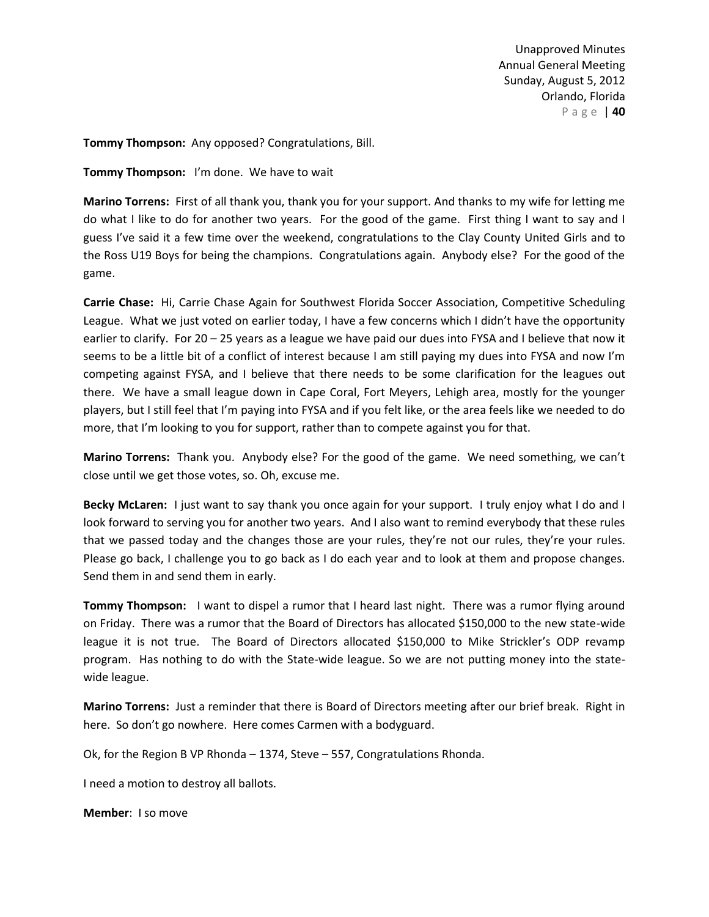**Tommy Thompson:** Any opposed? Congratulations, Bill.

**Tommy Thompson:** I'm done. We have to wait

**Marino Torrens:** First of all thank you, thank you for your support. And thanks to my wife for letting me do what I like to do for another two years. For the good of the game. First thing I want to say and I guess I've said it a few time over the weekend, congratulations to the Clay County United Girls and to the Ross U19 Boys for being the champions. Congratulations again. Anybody else? For the good of the game.

**Carrie Chase:** Hi, Carrie Chase Again for Southwest Florida Soccer Association, Competitive Scheduling League. What we just voted on earlier today, I have a few concerns which I didn't have the opportunity earlier to clarify. For 20 – 25 years as a league we have paid our dues into FYSA and I believe that now it seems to be a little bit of a conflict of interest because I am still paying my dues into FYSA and now I'm competing against FYSA, and I believe that there needs to be some clarification for the leagues out there. We have a small league down in Cape Coral, Fort Meyers, Lehigh area, mostly for the younger players, but I still feel that I'm paying into FYSA and if you felt like, or the area feels like we needed to do more, that I'm looking to you for support, rather than to compete against you for that.

**Marino Torrens:** Thank you. Anybody else? For the good of the game. We need something, we can't close until we get those votes, so. Oh, excuse me.

**Becky McLaren:** I just want to say thank you once again for your support. I truly enjoy what I do and I look forward to serving you for another two years. And I also want to remind everybody that these rules that we passed today and the changes those are your rules, they're not our rules, they're your rules. Please go back, I challenge you to go back as I do each year and to look at them and propose changes. Send them in and send them in early.

**Tommy Thompson:** I want to dispel a rumor that I heard last night. There was a rumor flying around on Friday. There was a rumor that the Board of Directors has allocated \$150,000 to the new state-wide league it is not true. The Board of Directors allocated \$150,000 to Mike Strickler's ODP revamp program. Has nothing to do with the State-wide league. So we are not putting money into the statewide league.

**Marino Torrens:** Just a reminder that there is Board of Directors meeting after our brief break. Right in here. So don't go nowhere. Here comes Carmen with a bodyguard.

Ok, for the Region B VP Rhonda – 1374, Steve – 557, Congratulations Rhonda.

I need a motion to destroy all ballots.

**Member**: I so move